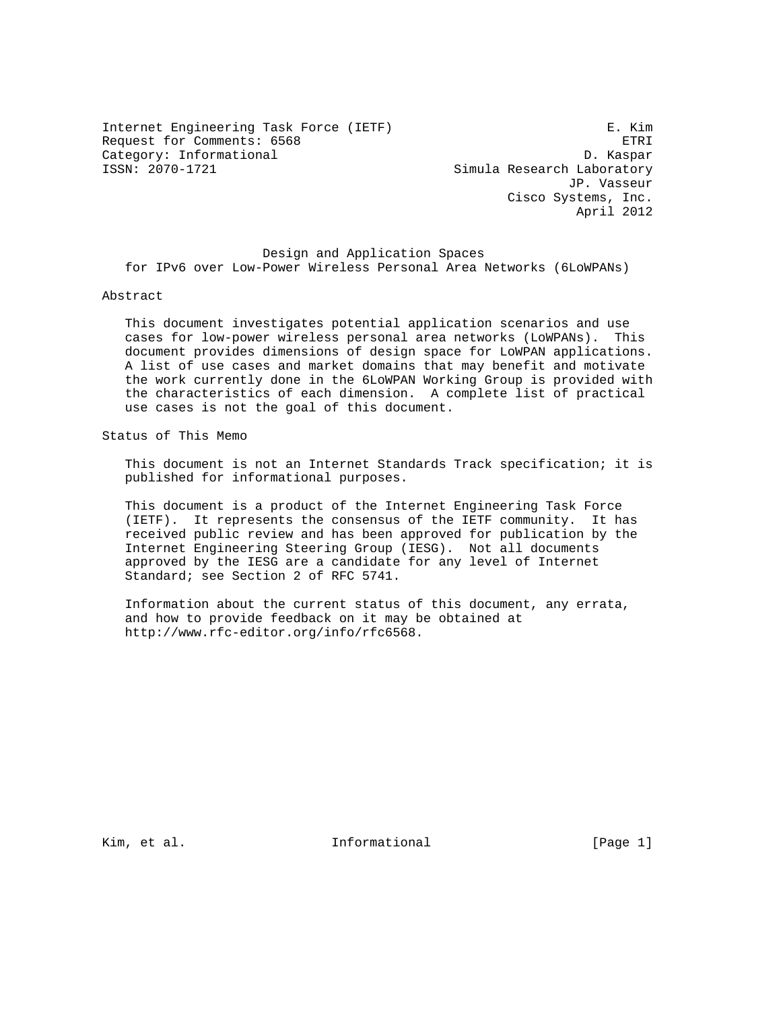Internet Engineering Task Force (IETF) E. Kim Request for Comments: 6568 ETRI Category: Informational D. Kaspar<br>ISSN: 2070-1721 Simula Research Laboratory

Simula Research Laboratory JP. Vasseur Cisco Systems, Inc. April 2012

 Design and Application Spaces for IPv6 over Low-Power Wireless Personal Area Networks (6LoWPANs)

#### Abstract

 This document investigates potential application scenarios and use cases for low-power wireless personal area networks (LoWPANs). This document provides dimensions of design space for LoWPAN applications. A list of use cases and market domains that may benefit and motivate the work currently done in the 6LoWPAN Working Group is provided with the characteristics of each dimension. A complete list of practical use cases is not the goal of this document.

Status of This Memo

 This document is not an Internet Standards Track specification; it is published for informational purposes.

 This document is a product of the Internet Engineering Task Force (IETF). It represents the consensus of the IETF community. It has received public review and has been approved for publication by the Internet Engineering Steering Group (IESG). Not all documents approved by the IESG are a candidate for any level of Internet Standard; see Section 2 of RFC 5741.

 Information about the current status of this document, any errata, and how to provide feedback on it may be obtained at http://www.rfc-editor.org/info/rfc6568.

Kim, et al. Informational [Page 1]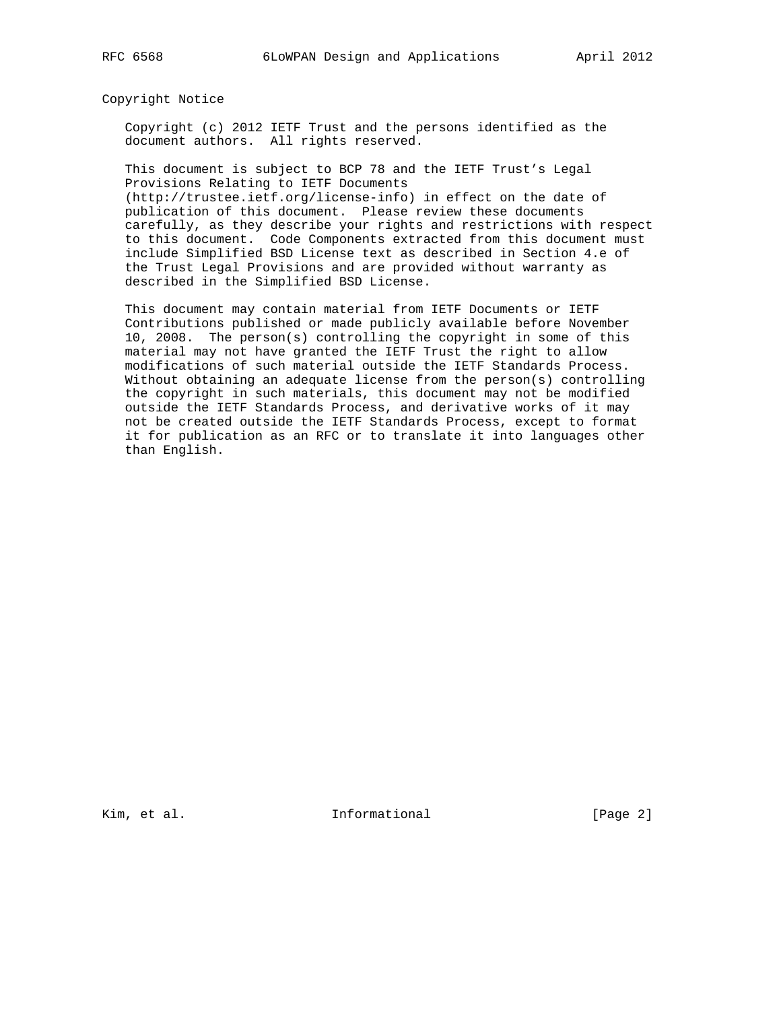Copyright Notice

 Copyright (c) 2012 IETF Trust and the persons identified as the document authors. All rights reserved.

 This document is subject to BCP 78 and the IETF Trust's Legal Provisions Relating to IETF Documents (http://trustee.ietf.org/license-info) in effect on the date of

 publication of this document. Please review these documents carefully, as they describe your rights and restrictions with respect to this document. Code Components extracted from this document must include Simplified BSD License text as described in Section 4.e of the Trust Legal Provisions and are provided without warranty as described in the Simplified BSD License.

 This document may contain material from IETF Documents or IETF Contributions published or made publicly available before November 10, 2008. The person(s) controlling the copyright in some of this material may not have granted the IETF Trust the right to allow modifications of such material outside the IETF Standards Process. Without obtaining an adequate license from the person(s) controlling the copyright in such materials, this document may not be modified outside the IETF Standards Process, and derivative works of it may not be created outside the IETF Standards Process, except to format it for publication as an RFC or to translate it into languages other than English.

Kim, et al. Informational [Page 2]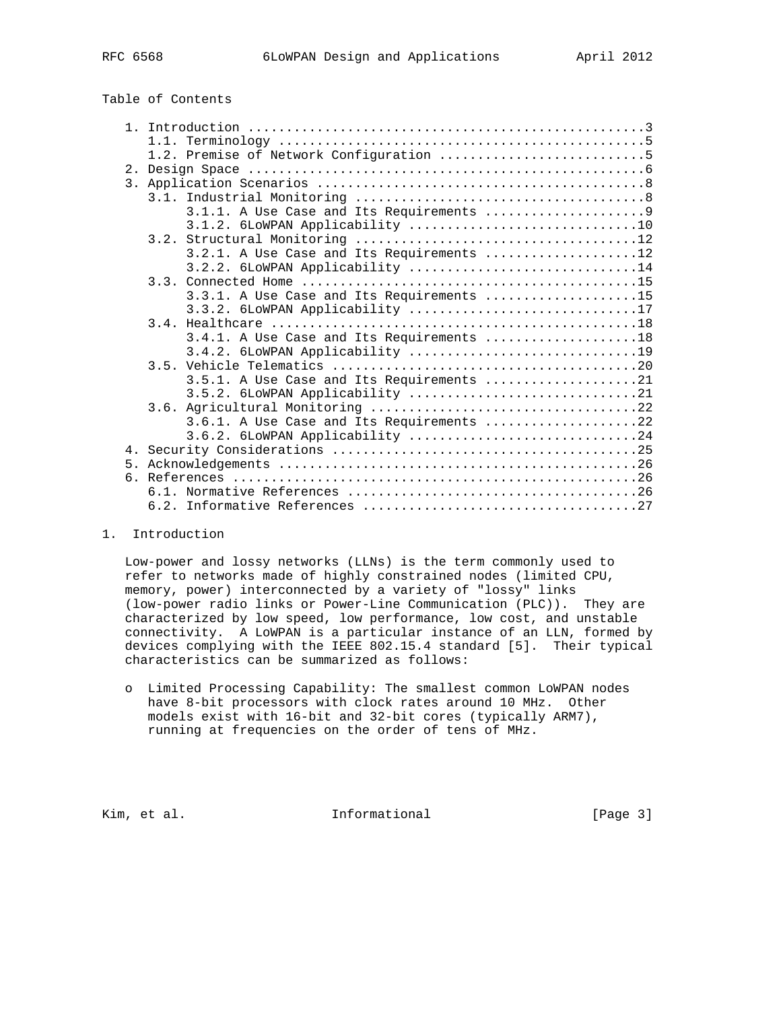| Table of Contents |  |
|-------------------|--|
|-------------------|--|

|    | 1.2. Premise of Network Configuration 5     |
|----|---------------------------------------------|
|    |                                             |
|    |                                             |
|    |                                             |
|    |                                             |
|    |                                             |
|    |                                             |
|    | $3.2.1.$ A Use Case and Its Requirements 12 |
|    | 3.2.2. 6LOWPAN Applicability 14             |
|    |                                             |
|    | $3.3.1.$ A Use Case and Its Requirements 15 |
|    | 3.3.2. 6LOWPAN Applicability 17             |
|    |                                             |
|    | $3.4.1.$ A Use Case and Its Requirements 18 |
|    | 3.4.2. 6LOWPAN Applicability 19             |
|    |                                             |
|    | 3.5.1. A Use Case and Its Requirements 21   |
|    | 3.5.2. 6LOWPAN Applicability 21             |
|    |                                             |
|    |                                             |
|    | 3.6.1. A Use Case and Its Requirements 22   |
|    | 3.6.2. 6LOWPAN Applicability 24             |
|    |                                             |
| 5. |                                             |
|    |                                             |
|    |                                             |
|    |                                             |

1. Introduction

 Low-power and lossy networks (LLNs) is the term commonly used to refer to networks made of highly constrained nodes (limited CPU, memory, power) interconnected by a variety of "lossy" links (low-power radio links or Power-Line Communication (PLC)). They are characterized by low speed, low performance, low cost, and unstable connectivity. A LoWPAN is a particular instance of an LLN, formed by devices complying with the IEEE 802.15.4 standard [5]. Their typical characteristics can be summarized as follows:

 o Limited Processing Capability: The smallest common LoWPAN nodes have 8-bit processors with clock rates around 10 MHz. Other models exist with 16-bit and 32-bit cores (typically ARM7), running at frequencies on the order of tens of MHz.

Kim, et al. 10 1nformational 1965 [Page 3]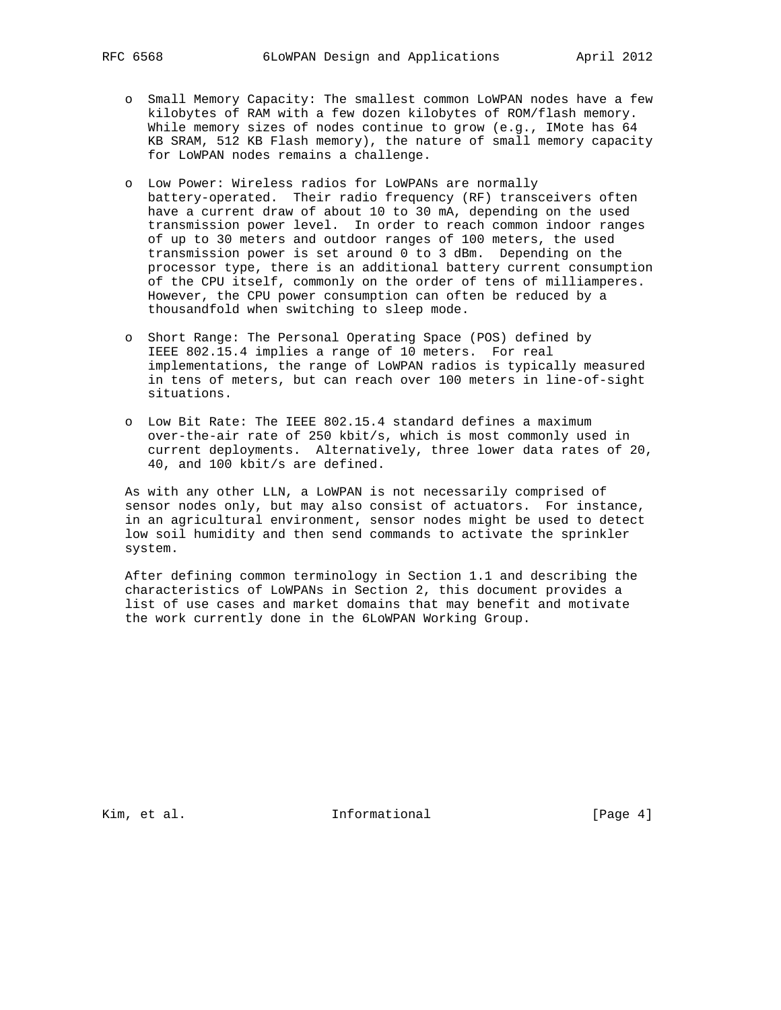- o Small Memory Capacity: The smallest common LoWPAN nodes have a few kilobytes of RAM with a few dozen kilobytes of ROM/flash memory. While memory sizes of nodes continue to grow (e.g., IMote has 64 KB SRAM, 512 KB Flash memory), the nature of small memory capacity for LoWPAN nodes remains a challenge.
- o Low Power: Wireless radios for LoWPANs are normally battery-operated. Their radio frequency (RF) transceivers often have a current draw of about 10 to 30 mA, depending on the used transmission power level. In order to reach common indoor ranges of up to 30 meters and outdoor ranges of 100 meters, the used transmission power is set around 0 to 3 dBm. Depending on the processor type, there is an additional battery current consumption of the CPU itself, commonly on the order of tens of milliamperes. However, the CPU power consumption can often be reduced by a thousandfold when switching to sleep mode.
- o Short Range: The Personal Operating Space (POS) defined by IEEE 802.15.4 implies a range of 10 meters. For real implementations, the range of LoWPAN radios is typically measured in tens of meters, but can reach over 100 meters in line-of-sight situations.
- o Low Bit Rate: The IEEE 802.15.4 standard defines a maximum over-the-air rate of 250 kbit/s, which is most commonly used in current deployments. Alternatively, three lower data rates of 20, 40, and 100 kbit/s are defined.

 As with any other LLN, a LoWPAN is not necessarily comprised of sensor nodes only, but may also consist of actuators. For instance, in an agricultural environment, sensor nodes might be used to detect low soil humidity and then send commands to activate the sprinkler system.

 After defining common terminology in Section 1.1 and describing the characteristics of LoWPANs in Section 2, this document provides a list of use cases and market domains that may benefit and motivate the work currently done in the 6LoWPAN Working Group.

Kim, et al. 10 1nformational 1964 [Page 4]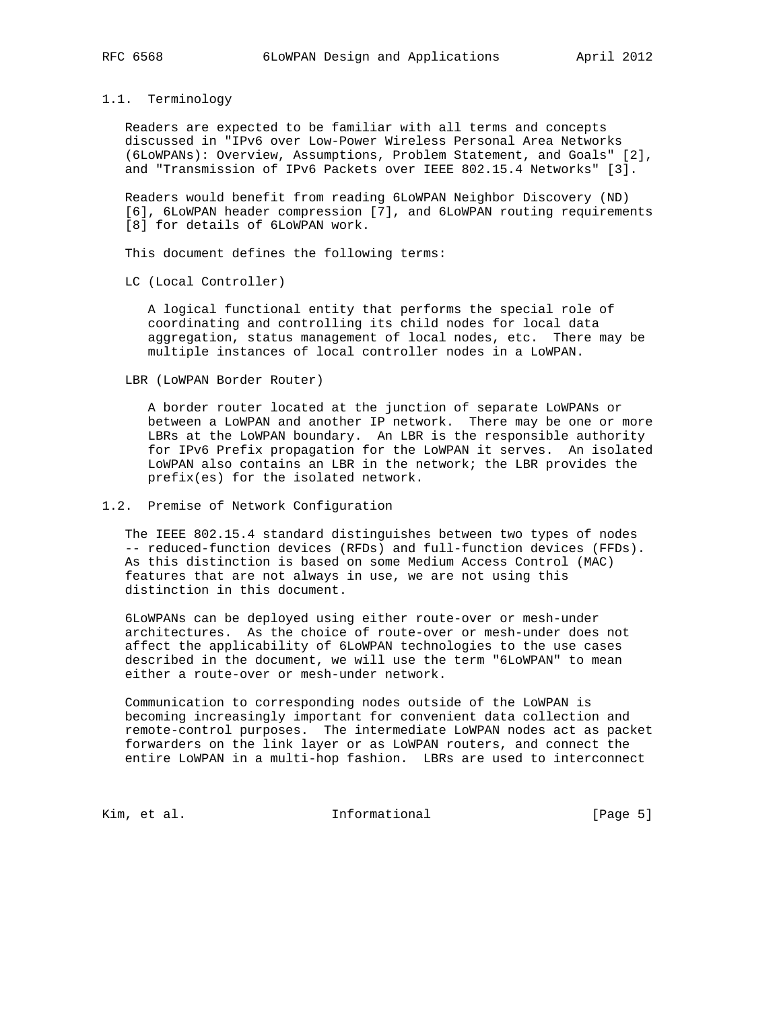#### 1.1. Terminology

 Readers are expected to be familiar with all terms and concepts discussed in "IPv6 over Low-Power Wireless Personal Area Networks (6LoWPANs): Overview, Assumptions, Problem Statement, and Goals" [2], and "Transmission of IPv6 Packets over IEEE 802.15.4 Networks" [3].

 Readers would benefit from reading 6LoWPAN Neighbor Discovery (ND) [6], 6LoWPAN header compression [7], and 6LoWPAN routing requirements [8] for details of 6LoWPAN work.

This document defines the following terms:

LC (Local Controller)

 A logical functional entity that performs the special role of coordinating and controlling its child nodes for local data aggregation, status management of local nodes, etc. There may be multiple instances of local controller nodes in a LoWPAN.

LBR (LoWPAN Border Router)

 A border router located at the junction of separate LoWPANs or between a LoWPAN and another IP network. There may be one or more LBRs at the LoWPAN boundary. An LBR is the responsible authority for IPv6 Prefix propagation for the LoWPAN it serves. An isolated LoWPAN also contains an LBR in the network; the LBR provides the prefix(es) for the isolated network.

# 1.2. Premise of Network Configuration

 The IEEE 802.15.4 standard distinguishes between two types of nodes -- reduced-function devices (RFDs) and full-function devices (FFDs). As this distinction is based on some Medium Access Control (MAC) features that are not always in use, we are not using this distinction in this document.

 6LoWPANs can be deployed using either route-over or mesh-under architectures. As the choice of route-over or mesh-under does not affect the applicability of 6LoWPAN technologies to the use cases described in the document, we will use the term "6LoWPAN" to mean either a route-over or mesh-under network.

 Communication to corresponding nodes outside of the LoWPAN is becoming increasingly important for convenient data collection and remote-control purposes. The intermediate LoWPAN nodes act as packet forwarders on the link layer or as LoWPAN routers, and connect the entire LoWPAN in a multi-hop fashion. LBRs are used to interconnect

Kim, et al. 10 1nformational 1999 [Page 5]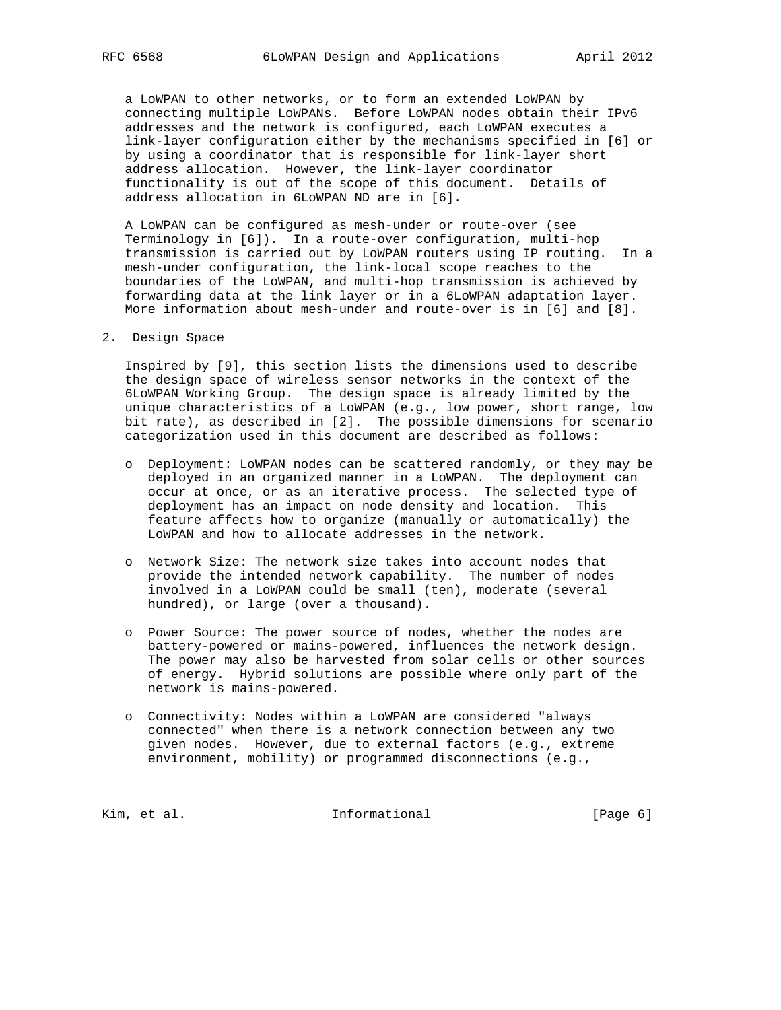a LoWPAN to other networks, or to form an extended LoWPAN by connecting multiple LoWPANs. Before LoWPAN nodes obtain their IPv6 addresses and the network is configured, each LoWPAN executes a link-layer configuration either by the mechanisms specified in [6] or by using a coordinator that is responsible for link-layer short address allocation. However, the link-layer coordinator functionality is out of the scope of this document. Details of address allocation in 6LoWPAN ND are in [6].

 A LoWPAN can be configured as mesh-under or route-over (see Terminology in [6]). In a route-over configuration, multi-hop transmission is carried out by LoWPAN routers using IP routing. In a mesh-under configuration, the link-local scope reaches to the boundaries of the LoWPAN, and multi-hop transmission is achieved by forwarding data at the link layer or in a 6LoWPAN adaptation layer. More information about mesh-under and route-over is in [6] and [8].

2. Design Space

 Inspired by [9], this section lists the dimensions used to describe the design space of wireless sensor networks in the context of the 6LoWPAN Working Group. The design space is already limited by the unique characteristics of a LoWPAN (e.g., low power, short range, low bit rate), as described in [2]. The possible dimensions for scenario categorization used in this document are described as follows:

- o Deployment: LoWPAN nodes can be scattered randomly, or they may be deployed in an organized manner in a LoWPAN. The deployment can occur at once, or as an iterative process. The selected type of deployment has an impact on node density and location. This feature affects how to organize (manually or automatically) the LoWPAN and how to allocate addresses in the network.
- o Network Size: The network size takes into account nodes that provide the intended network capability. The number of nodes involved in a LoWPAN could be small (ten), moderate (several hundred), or large (over a thousand).
- o Power Source: The power source of nodes, whether the nodes are battery-powered or mains-powered, influences the network design. The power may also be harvested from solar cells or other sources of energy. Hybrid solutions are possible where only part of the network is mains-powered.
- o Connectivity: Nodes within a LoWPAN are considered "always connected" when there is a network connection between any two given nodes. However, due to external factors (e.g., extreme environment, mobility) or programmed disconnections (e.g.,

Kim, et al. 10 mm and 111 mm and 111 mm and 12 mm and 12 mm and 12 mm and 12 mm and 12 mm and 12 mm and 12 mm a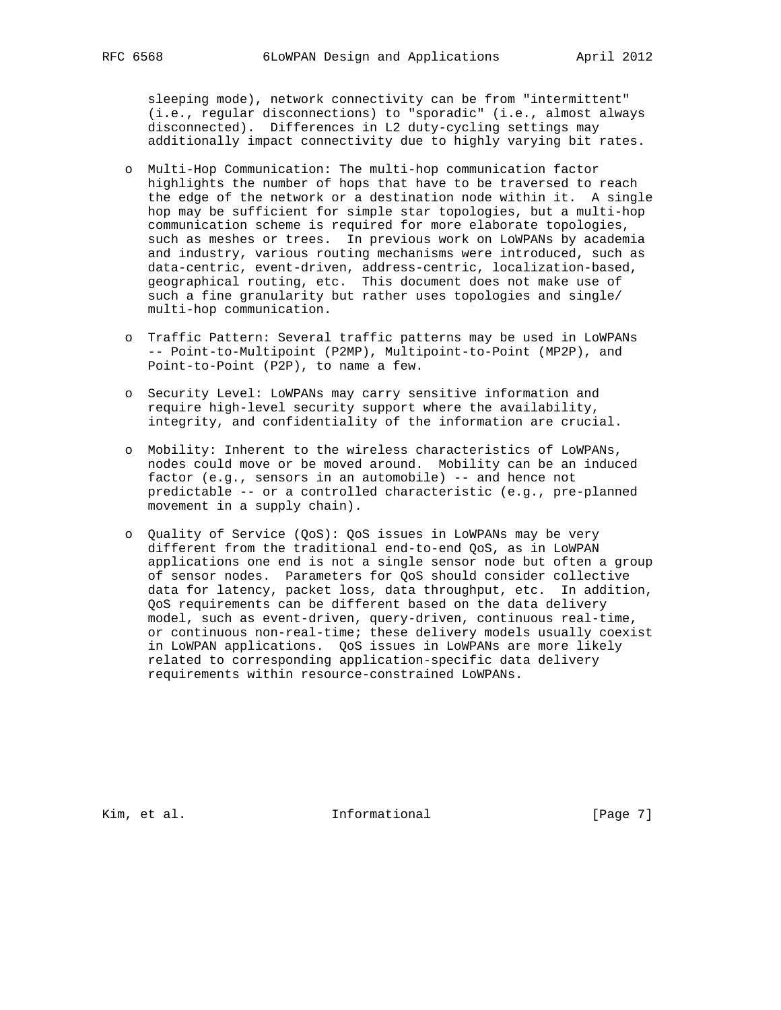sleeping mode), network connectivity can be from "intermittent" (i.e., regular disconnections) to "sporadic" (i.e., almost always disconnected). Differences in L2 duty-cycling settings may additionally impact connectivity due to highly varying bit rates.

- o Multi-Hop Communication: The multi-hop communication factor highlights the number of hops that have to be traversed to reach the edge of the network or a destination node within it. A single hop may be sufficient for simple star topologies, but a multi-hop communication scheme is required for more elaborate topologies, such as meshes or trees. In previous work on LoWPANs by academia and industry, various routing mechanisms were introduced, such as data-centric, event-driven, address-centric, localization-based, geographical routing, etc. This document does not make use of such a fine granularity but rather uses topologies and single/ multi-hop communication.
- o Traffic Pattern: Several traffic patterns may be used in LoWPANs -- Point-to-Multipoint (P2MP), Multipoint-to-Point (MP2P), and Point-to-Point (P2P), to name a few.
- o Security Level: LoWPANs may carry sensitive information and require high-level security support where the availability, integrity, and confidentiality of the information are crucial.
- o Mobility: Inherent to the wireless characteristics of LoWPANs, nodes could move or be moved around. Mobility can be an induced factor (e.g., sensors in an automobile) -- and hence not predictable -- or a controlled characteristic (e.g., pre-planned movement in a supply chain).
- o Quality of Service (QoS): QoS issues in LoWPANs may be very different from the traditional end-to-end QoS, as in LoWPAN applications one end is not a single sensor node but often a group of sensor nodes. Parameters for QoS should consider collective data for latency, packet loss, data throughput, etc. In addition, QoS requirements can be different based on the data delivery model, such as event-driven, query-driven, continuous real-time, or continuous non-real-time; these delivery models usually coexist in LoWPAN applications. QoS issues in LoWPANs are more likely related to corresponding application-specific data delivery requirements within resource-constrained LoWPANs.

Kim, et al. 10 1nformational 1965 [Page 7]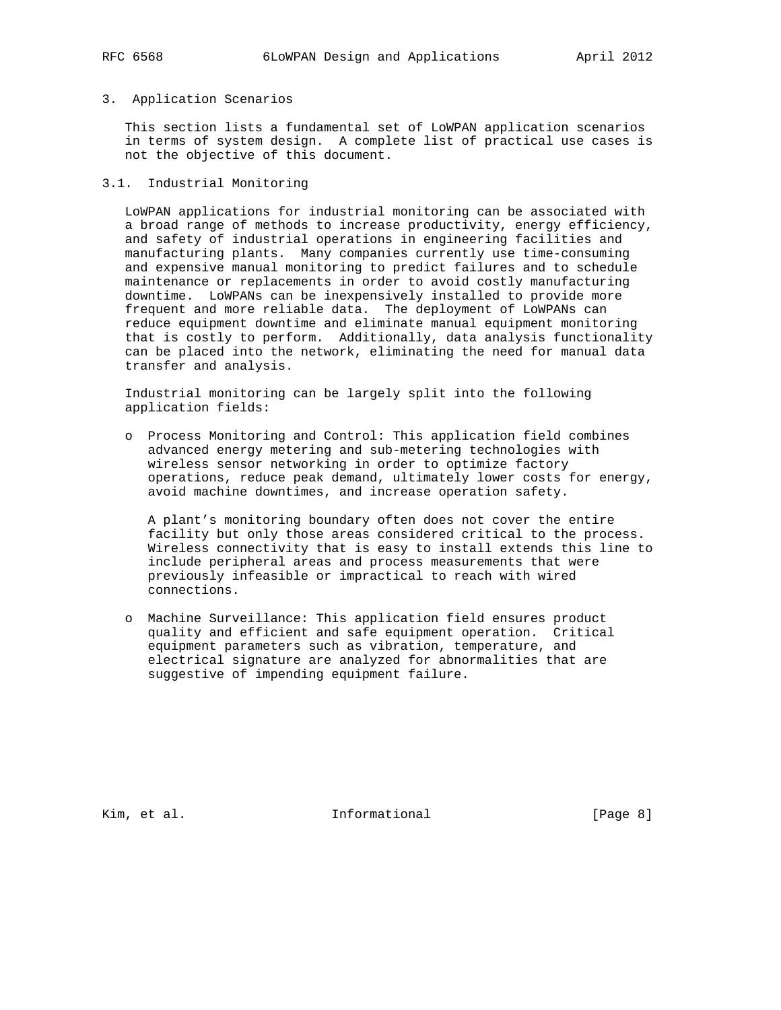#### 3. Application Scenarios

 This section lists a fundamental set of LoWPAN application scenarios in terms of system design. A complete list of practical use cases is not the objective of this document.

# 3.1. Industrial Monitoring

 LoWPAN applications for industrial monitoring can be associated with a broad range of methods to increase productivity, energy efficiency, and safety of industrial operations in engineering facilities and manufacturing plants. Many companies currently use time-consuming and expensive manual monitoring to predict failures and to schedule maintenance or replacements in order to avoid costly manufacturing downtime. LoWPANs can be inexpensively installed to provide more frequent and more reliable data. The deployment of LoWPANs can reduce equipment downtime and eliminate manual equipment monitoring that is costly to perform. Additionally, data analysis functionality can be placed into the network, eliminating the need for manual data transfer and analysis.

 Industrial monitoring can be largely split into the following application fields:

 o Process Monitoring and Control: This application field combines advanced energy metering and sub-metering technologies with wireless sensor networking in order to optimize factory operations, reduce peak demand, ultimately lower costs for energy, avoid machine downtimes, and increase operation safety.

 A plant's monitoring boundary often does not cover the entire facility but only those areas considered critical to the process. Wireless connectivity that is easy to install extends this line to include peripheral areas and process measurements that were previously infeasible or impractical to reach with wired connections.

 o Machine Surveillance: This application field ensures product quality and efficient and safe equipment operation. Critical equipment parameters such as vibration, temperature, and electrical signature are analyzed for abnormalities that are suggestive of impending equipment failure.

Kim, et al. Informational [Page 8]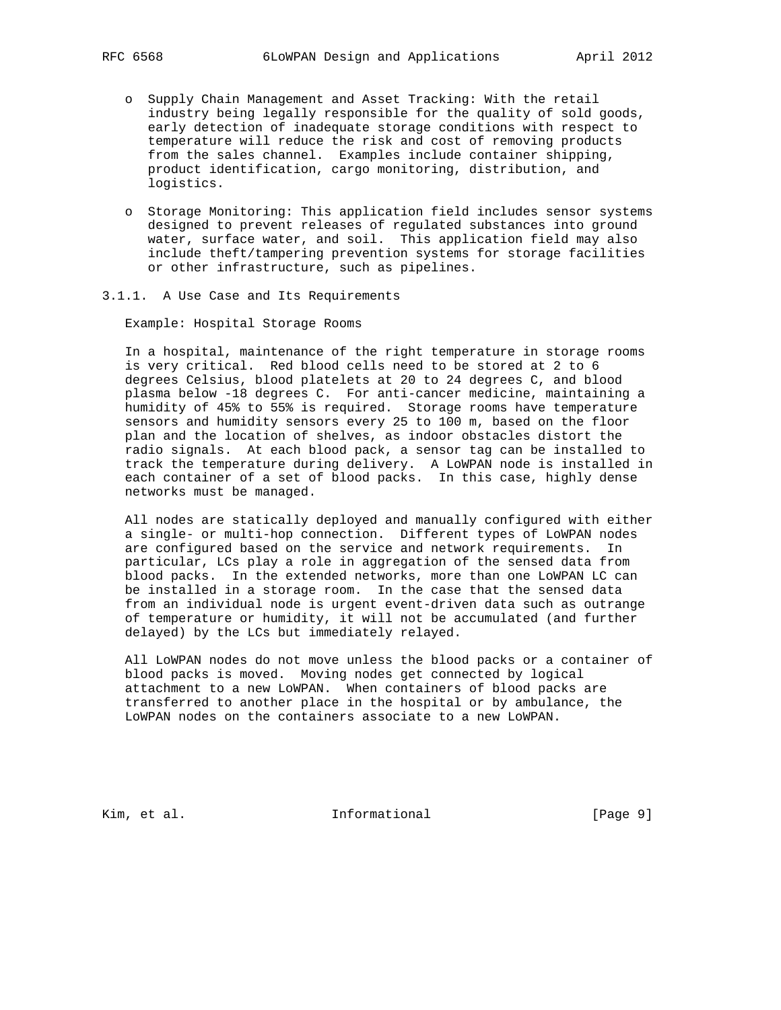- o Supply Chain Management and Asset Tracking: With the retail industry being legally responsible for the quality of sold goods, early detection of inadequate storage conditions with respect to temperature will reduce the risk and cost of removing products from the sales channel. Examples include container shipping, product identification, cargo monitoring, distribution, and logistics.
- o Storage Monitoring: This application field includes sensor systems designed to prevent releases of regulated substances into ground water, surface water, and soil. This application field may also include theft/tampering prevention systems for storage facilities or other infrastructure, such as pipelines.
- 3.1.1. A Use Case and Its Requirements

Example: Hospital Storage Rooms

 In a hospital, maintenance of the right temperature in storage rooms is very critical. Red blood cells need to be stored at 2 to 6 degrees Celsius, blood platelets at 20 to 24 degrees C, and blood plasma below -18 degrees C. For anti-cancer medicine, maintaining a humidity of 45% to 55% is required. Storage rooms have temperature sensors and humidity sensors every 25 to 100 m, based on the floor plan and the location of shelves, as indoor obstacles distort the radio signals. At each blood pack, a sensor tag can be installed to track the temperature during delivery. A LoWPAN node is installed in each container of a set of blood packs. In this case, highly dense networks must be managed.

 All nodes are statically deployed and manually configured with either a single- or multi-hop connection. Different types of LoWPAN nodes are configured based on the service and network requirements. In particular, LCs play a role in aggregation of the sensed data from blood packs. In the extended networks, more than one LoWPAN LC can be installed in a storage room. In the case that the sensed data from an individual node is urgent event-driven data such as outrange of temperature or humidity, it will not be accumulated (and further delayed) by the LCs but immediately relayed.

 All LoWPAN nodes do not move unless the blood packs or a container of blood packs is moved. Moving nodes get connected by logical attachment to a new LoWPAN. When containers of blood packs are transferred to another place in the hospital or by ambulance, the LoWPAN nodes on the containers associate to a new LoWPAN.

Kim, et al. 10 1nformational 1999 [Page 9]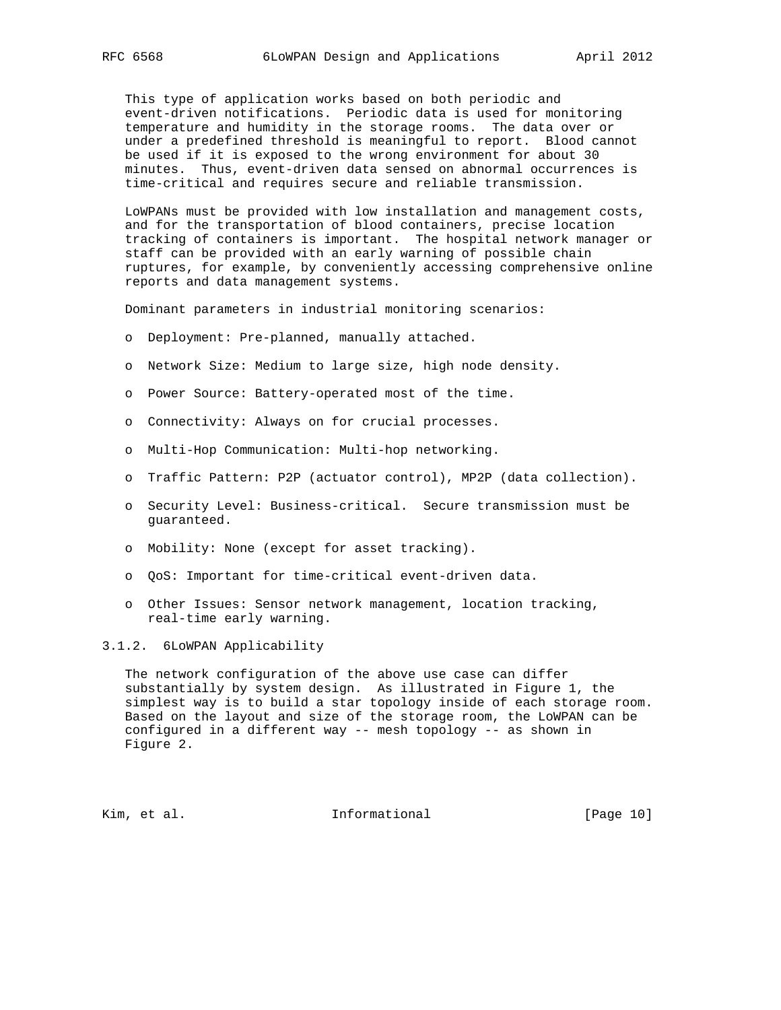This type of application works based on both periodic and event-driven notifications. Periodic data is used for monitoring temperature and humidity in the storage rooms. The data over or under a predefined threshold is meaningful to report. Blood cannot be used if it is exposed to the wrong environment for about 30 minutes. Thus, event-driven data sensed on abnormal occurrences is time-critical and requires secure and reliable transmission.

 LoWPANs must be provided with low installation and management costs, and for the transportation of blood containers, precise location tracking of containers is important. The hospital network manager or staff can be provided with an early warning of possible chain ruptures, for example, by conveniently accessing comprehensive online reports and data management systems.

Dominant parameters in industrial monitoring scenarios:

- o Deployment: Pre-planned, manually attached.
- o Network Size: Medium to large size, high node density.
- o Power Source: Battery-operated most of the time.
- o Connectivity: Always on for crucial processes.
- o Multi-Hop Communication: Multi-hop networking.
- o Traffic Pattern: P2P (actuator control), MP2P (data collection).
- o Security Level: Business-critical. Secure transmission must be guaranteed.
- o Mobility: None (except for asset tracking).
- o QoS: Important for time-critical event-driven data.
- o Other Issues: Sensor network management, location tracking, real-time early warning.

3.1.2. 6LoWPAN Applicability

 The network configuration of the above use case can differ substantially by system design. As illustrated in Figure 1, the simplest way is to build a star topology inside of each storage room. Based on the layout and size of the storage room, the LoWPAN can be configured in a different way -- mesh topology -- as shown in Figure 2.

Kim, et al. 10 mm informational [Page 10]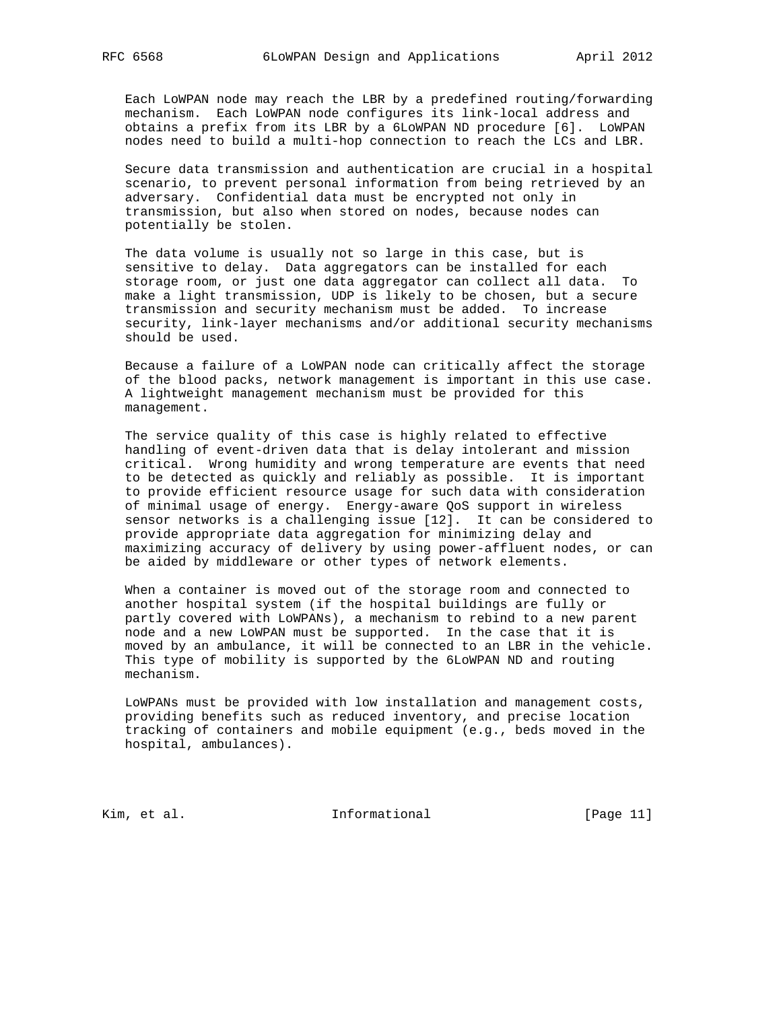Each LoWPAN node may reach the LBR by a predefined routing/forwarding mechanism. Each LoWPAN node configures its link-local address and obtains a prefix from its LBR by a 6LoWPAN ND procedure [6]. LoWPAN nodes need to build a multi-hop connection to reach the LCs and LBR.

 Secure data transmission and authentication are crucial in a hospital scenario, to prevent personal information from being retrieved by an adversary. Confidential data must be encrypted not only in transmission, but also when stored on nodes, because nodes can potentially be stolen.

 The data volume is usually not so large in this case, but is sensitive to delay. Data aggregators can be installed for each storage room, or just one data aggregator can collect all data. To make a light transmission, UDP is likely to be chosen, but a secure transmission and security mechanism must be added. To increase security, link-layer mechanisms and/or additional security mechanisms should be used.

 Because a failure of a LoWPAN node can critically affect the storage of the blood packs, network management is important in this use case. A lightweight management mechanism must be provided for this management.

 The service quality of this case is highly related to effective handling of event-driven data that is delay intolerant and mission critical. Wrong humidity and wrong temperature are events that need to be detected as quickly and reliably as possible. It is important to provide efficient resource usage for such data with consideration of minimal usage of energy. Energy-aware QoS support in wireless sensor networks is a challenging issue [12]. It can be considered to provide appropriate data aggregation for minimizing delay and maximizing accuracy of delivery by using power-affluent nodes, or can be aided by middleware or other types of network elements.

 When a container is moved out of the storage room and connected to another hospital system (if the hospital buildings are fully or partly covered with LoWPANs), a mechanism to rebind to a new parent node and a new LoWPAN must be supported. In the case that it is moved by an ambulance, it will be connected to an LBR in the vehicle. This type of mobility is supported by the 6LoWPAN ND and routing mechanism.

 LoWPANs must be provided with low installation and management costs, providing benefits such as reduced inventory, and precise location tracking of containers and mobile equipment (e.g., beds moved in the hospital, ambulances).

Kim, et al. 10. Informational [Page 11]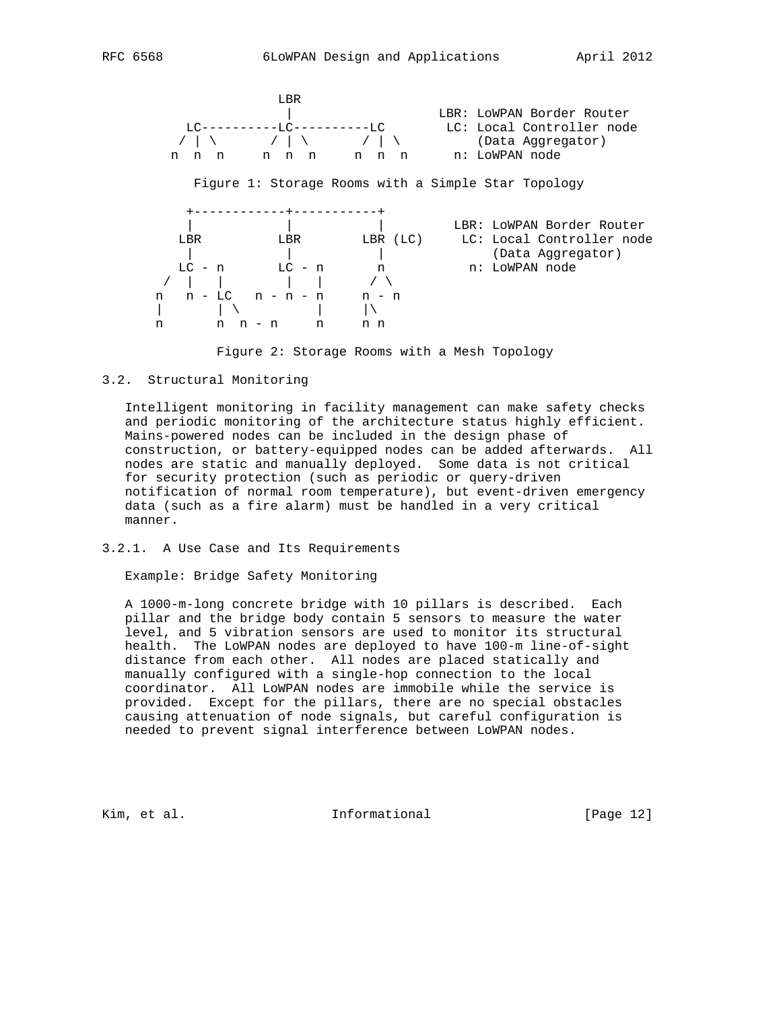

Figure 2: Storage Rooms with a Mesh Topology

# 3.2. Structural Monitoring

 Intelligent monitoring in facility management can make safety checks and periodic monitoring of the architecture status highly efficient. Mains-powered nodes can be included in the design phase of construction, or battery-equipped nodes can be added afterwards. All nodes are static and manually deployed. Some data is not critical for security protection (such as periodic or query-driven notification of normal room temperature), but event-driven emergency data (such as a fire alarm) must be handled in a very critical manner.

### 3.2.1. A Use Case and Its Requirements

Example: Bridge Safety Monitoring

 A 1000-m-long concrete bridge with 10 pillars is described. Each pillar and the bridge body contain 5 sensors to measure the water level, and 5 vibration sensors are used to monitor its structural health. The LoWPAN nodes are deployed to have 100-m line-of-sight distance from each other. All nodes are placed statically and manually configured with a single-hop connection to the local coordinator. All LoWPAN nodes are immobile while the service is provided. Except for the pillars, there are no special obstacles causing attenuation of node signals, but careful configuration is needed to prevent signal interference between LoWPAN nodes.

Kim, et al. 10 1nformational [Page 12]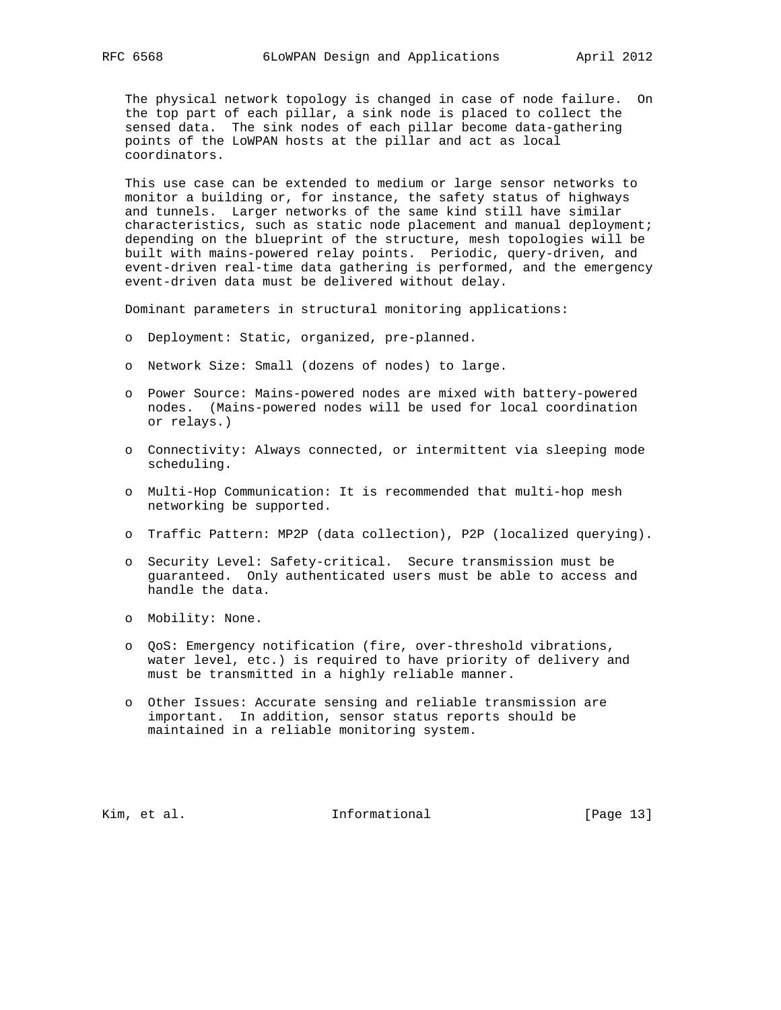The physical network topology is changed in case of node failure. On the top part of each pillar, a sink node is placed to collect the sensed data. The sink nodes of each pillar become data-gathering points of the LoWPAN hosts at the pillar and act as local coordinators.

 This use case can be extended to medium or large sensor networks to monitor a building or, for instance, the safety status of highways and tunnels. Larger networks of the same kind still have similar characteristics, such as static node placement and manual deployment; depending on the blueprint of the structure, mesh topologies will be built with mains-powered relay points. Periodic, query-driven, and event-driven real-time data gathering is performed, and the emergency event-driven data must be delivered without delay.

Dominant parameters in structural monitoring applications:

- o Deployment: Static, organized, pre-planned.
- o Network Size: Small (dozens of nodes) to large.
- o Power Source: Mains-powered nodes are mixed with battery-powered nodes. (Mains-powered nodes will be used for local coordination or relays.)
- o Connectivity: Always connected, or intermittent via sleeping mode scheduling.
- o Multi-Hop Communication: It is recommended that multi-hop mesh networking be supported.
- o Traffic Pattern: MP2P (data collection), P2P (localized querying).
- o Security Level: Safety-critical. Secure transmission must be guaranteed. Only authenticated users must be able to access and handle the data.
- o Mobility: None.
- o QoS: Emergency notification (fire, over-threshold vibrations, water level, etc.) is required to have priority of delivery and must be transmitted in a highly reliable manner.
- o Other Issues: Accurate sensing and reliable transmission are important. In addition, sensor status reports should be maintained in a reliable monitoring system.

Kim, et al. 10. Informational [Page 13]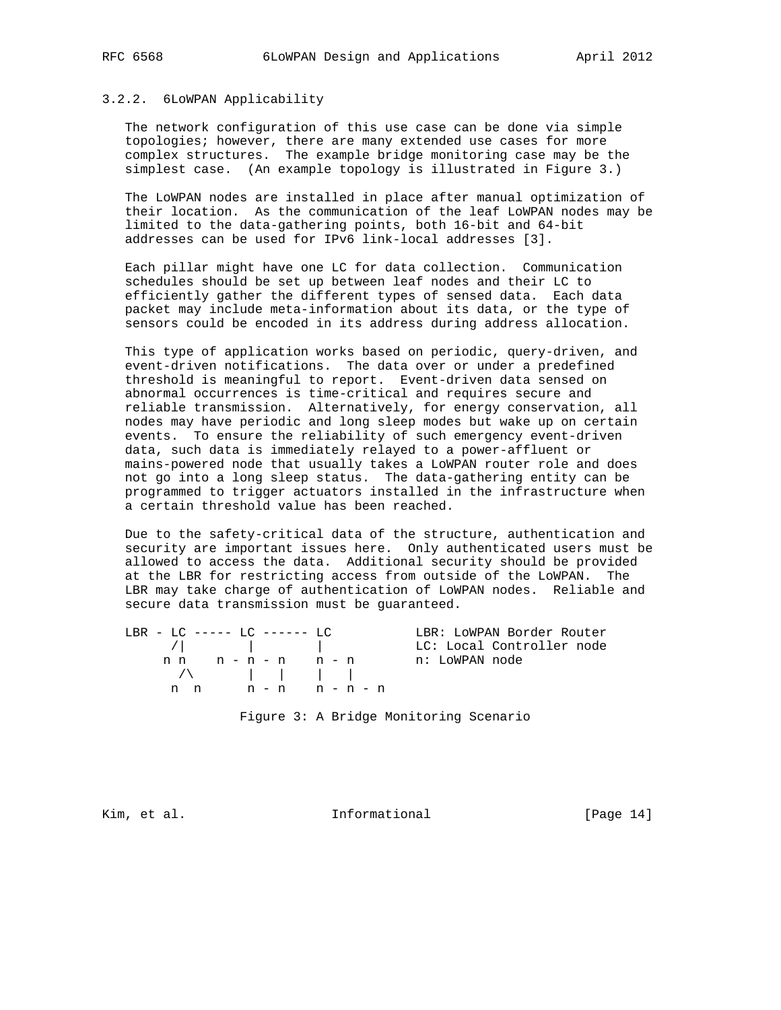#### 3.2.2. 6LoWPAN Applicability

 The network configuration of this use case can be done via simple topologies; however, there are many extended use cases for more complex structures. The example bridge monitoring case may be the simplest case. (An example topology is illustrated in Figure 3.)

 The LoWPAN nodes are installed in place after manual optimization of their location. As the communication of the leaf LoWPAN nodes may be limited to the data-gathering points, both 16-bit and 64-bit addresses can be used for IPv6 link-local addresses [3].

 Each pillar might have one LC for data collection. Communication schedules should be set up between leaf nodes and their LC to efficiently gather the different types of sensed data. Each data packet may include meta-information about its data, or the type of sensors could be encoded in its address during address allocation.

 This type of application works based on periodic, query-driven, and event-driven notifications. The data over or under a predefined threshold is meaningful to report. Event-driven data sensed on abnormal occurrences is time-critical and requires secure and reliable transmission. Alternatively, for energy conservation, all nodes may have periodic and long sleep modes but wake up on certain events. To ensure the reliability of such emergency event-driven data, such data is immediately relayed to a power-affluent or mains-powered node that usually takes a LoWPAN router role and does not go into a long sleep status. The data-gathering entity can be programmed to trigger actuators installed in the infrastructure when a certain threshold value has been reached.

 Due to the safety-critical data of the structure, authentication and security are important issues here. Only authenticated users must be allowed to access the data. Additional security should be provided at the LBR for restricting access from outside of the LoWPAN. The LBR may take charge of authentication of LoWPAN nodes. Reliable and secure data transmission must be guaranteed.

|     | $LBR - LC$ ----- $LC$ ------ $LC$                                                                                                                                                                                                                                                                                  |           | LBR: LOWPAN Border Router |
|-----|--------------------------------------------------------------------------------------------------------------------------------------------------------------------------------------------------------------------------------------------------------------------------------------------------------------------|-----------|---------------------------|
|     | $\sqrt{2}$                                                                                                                                                                                                                                                                                                         |           | LC: Local Controller node |
|     | nn n-n-n n-n                                                                                                                                                                                                                                                                                                       |           | n: LoWPAN node            |
|     | $\sqrt{2}$ $\sqrt{2}$ $\sqrt{2}$ $\sqrt{2}$ $\sqrt{2}$ $\sqrt{2}$ $\sqrt{2}$ $\sqrt{2}$ $\sqrt{2}$ $\sqrt{2}$ $\sqrt{2}$ $\sqrt{2}$ $\sqrt{2}$ $\sqrt{2}$ $\sqrt{2}$ $\sqrt{2}$ $\sqrt{2}$ $\sqrt{2}$ $\sqrt{2}$ $\sqrt{2}$ $\sqrt{2}$ $\sqrt{2}$ $\sqrt{2}$ $\sqrt{2}$ $\sqrt{2}$ $\sqrt{2}$ $\sqrt{2}$ $\sqrt{2$ |           |                           |
| n n |                                                                                                                                                                                                                                                                                                                    | n-n n-n-n |                           |
|     |                                                                                                                                                                                                                                                                                                                    |           |                           |
|     |                                                                                                                                                                                                                                                                                                                    |           |                           |

Figure 3: A Bridge Monitoring Scenario

Kim, et al. Informational [Page 14]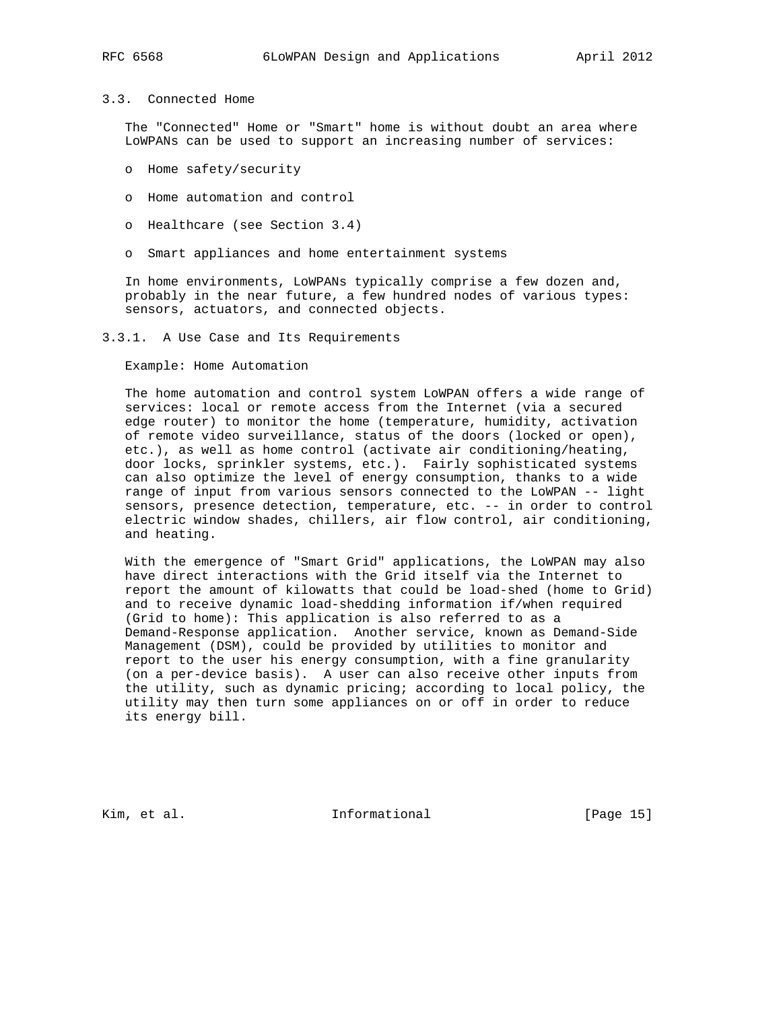# 3.3. Connected Home

 The "Connected" Home or "Smart" home is without doubt an area where LoWPANs can be used to support an increasing number of services:

- o Home safety/security
- o Home automation and control
- o Healthcare (see Section 3.4)
- o Smart appliances and home entertainment systems

 In home environments, LoWPANs typically comprise a few dozen and, probably in the near future, a few hundred nodes of various types: sensors, actuators, and connected objects.

### 3.3.1. A Use Case and Its Requirements

Example: Home Automation

 The home automation and control system LoWPAN offers a wide range of services: local or remote access from the Internet (via a secured edge router) to monitor the home (temperature, humidity, activation of remote video surveillance, status of the doors (locked or open), etc.), as well as home control (activate air conditioning/heating, door locks, sprinkler systems, etc.). Fairly sophisticated systems can also optimize the level of energy consumption, thanks to a wide range of input from various sensors connected to the LoWPAN -- light sensors, presence detection, temperature, etc. -- in order to control electric window shades, chillers, air flow control, air conditioning, and heating.

 With the emergence of "Smart Grid" applications, the LoWPAN may also have direct interactions with the Grid itself via the Internet to report the amount of kilowatts that could be load-shed (home to Grid) and to receive dynamic load-shedding information if/when required (Grid to home): This application is also referred to as a Demand-Response application. Another service, known as Demand-Side Management (DSM), could be provided by utilities to monitor and report to the user his energy consumption, with a fine granularity (on a per-device basis). A user can also receive other inputs from the utility, such as dynamic pricing; according to local policy, the utility may then turn some appliances on or off in order to reduce its energy bill.

Kim, et al. 10. Informational [Page 15]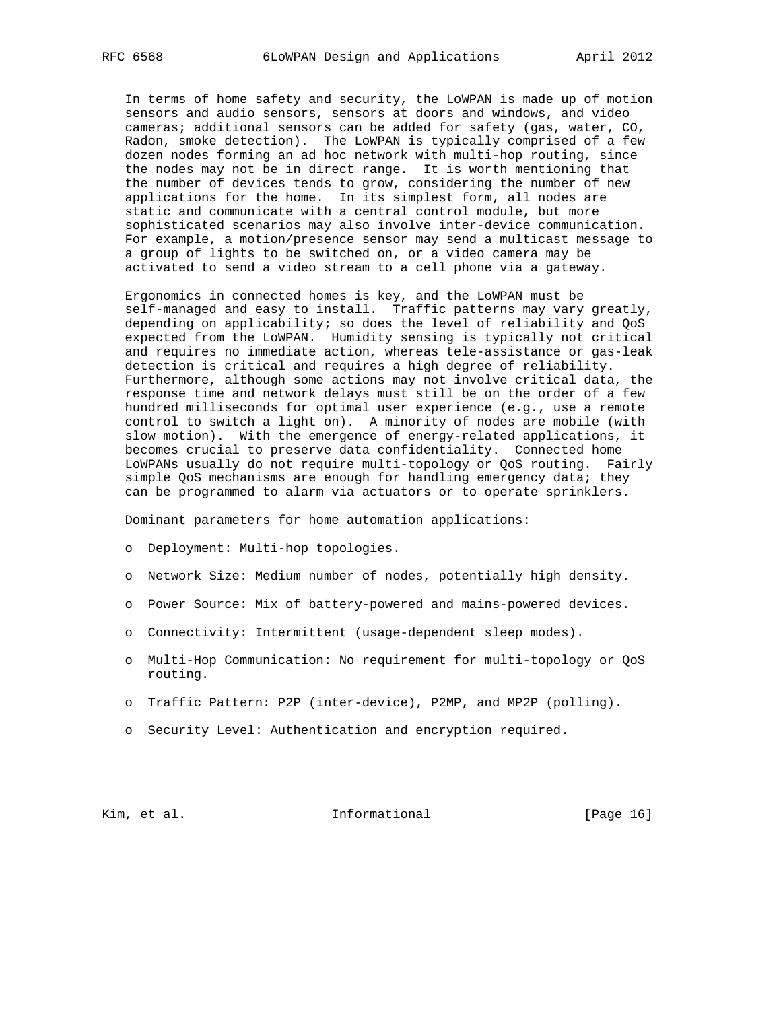In terms of home safety and security, the LoWPAN is made up of motion sensors and audio sensors, sensors at doors and windows, and video cameras; additional sensors can be added for safety (gas, water, CO, Radon, smoke detection). The LoWPAN is typically comprised of a few dozen nodes forming an ad hoc network with multi-hop routing, since the nodes may not be in direct range. It is worth mentioning that the number of devices tends to grow, considering the number of new applications for the home. In its simplest form, all nodes are static and communicate with a central control module, but more sophisticated scenarios may also involve inter-device communication. For example, a motion/presence sensor may send a multicast message to a group of lights to be switched on, or a video camera may be activated to send a video stream to a cell phone via a gateway.

 Ergonomics in connected homes is key, and the LoWPAN must be self-managed and easy to install. Traffic patterns may vary greatly, depending on applicability; so does the level of reliability and QoS expected from the LoWPAN. Humidity sensing is typically not critical and requires no immediate action, whereas tele-assistance or gas-leak detection is critical and requires a high degree of reliability. Furthermore, although some actions may not involve critical data, the response time and network delays must still be on the order of a few hundred milliseconds for optimal user experience (e.g., use a remote control to switch a light on). A minority of nodes are mobile (with slow motion). With the emergence of energy-related applications, it becomes crucial to preserve data confidentiality. Connected home LoWPANs usually do not require multi-topology or QoS routing. Fairly simple QoS mechanisms are enough for handling emergency data; they can be programmed to alarm via actuators or to operate sprinklers.

Dominant parameters for home automation applications:

- o Deployment: Multi-hop topologies.
- o Network Size: Medium number of nodes, potentially high density.
- o Power Source: Mix of battery-powered and mains-powered devices.
- o Connectivity: Intermittent (usage-dependent sleep modes).
- o Multi-Hop Communication: No requirement for multi-topology or QoS routing.
- o Traffic Pattern: P2P (inter-device), P2MP, and MP2P (polling).
- o Security Level: Authentication and encryption required.

# Kim, et al. 10. Informational [Page 16]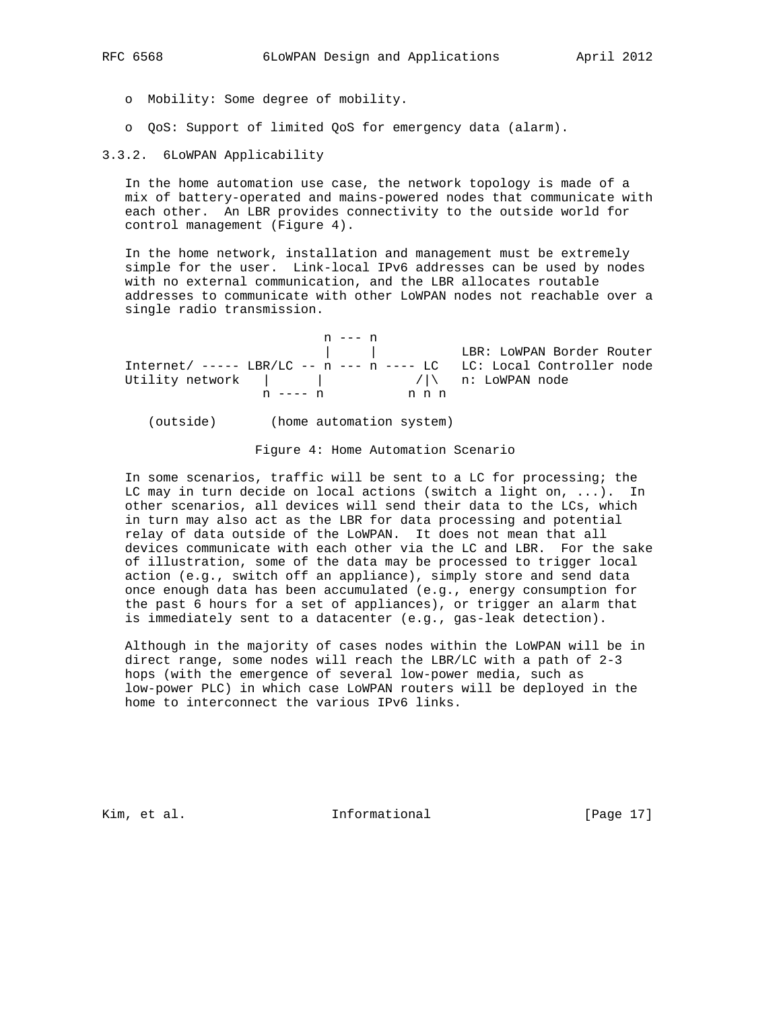- o Mobility: Some degree of mobility.
- o QoS: Support of limited QoS for emergency data (alarm).

3.3.2. 6LoWPAN Applicability

 In the home automation use case, the network topology is made of a mix of battery-operated and mains-powered nodes that communicate with each other. An LBR provides connectivity to the outside world for control management (Figure 4).

 In the home network, installation and management must be extremely simple for the user. Link-local IPv6 addresses can be used by nodes with no external communication, and the LBR allocates routable addresses to communicate with other LoWPAN nodes not reachable over a single radio transmission.

|                                                                                | n --- n      |       |                                                                              |
|--------------------------------------------------------------------------------|--------------|-------|------------------------------------------------------------------------------|
|                                                                                |              |       | EBR: LOWPAN Border Router                                                    |
|                                                                                |              |       | Internet/ ----- $\text{LBR/LC}$ -- n --- n ---- LC LC: Local Controller node |
| Utility network $\vert$ $\vert$ $\vert$ $\vert$ $\vert$ $\vert$ n: LOWPAN node |              |       |                                                                              |
|                                                                                | $n$ ---- $n$ | n n n |                                                                              |

(outside) (home automation system)

Figure 4: Home Automation Scenario

 In some scenarios, traffic will be sent to a LC for processing; the LC may in turn decide on local actions (switch a light on, ...). In other scenarios, all devices will send their data to the LCs, which in turn may also act as the LBR for data processing and potential relay of data outside of the LoWPAN. It does not mean that all devices communicate with each other via the LC and LBR. For the sake of illustration, some of the data may be processed to trigger local action (e.g., switch off an appliance), simply store and send data once enough data has been accumulated (e.g., energy consumption for the past 6 hours for a set of appliances), or trigger an alarm that is immediately sent to a datacenter (e.g., gas-leak detection).

 Although in the majority of cases nodes within the LoWPAN will be in direct range, some nodes will reach the LBR/LC with a path of 2-3 hops (with the emergence of several low-power media, such as low-power PLC) in which case LoWPAN routers will be deployed in the home to interconnect the various IPv6 links.

Kim, et al. 10. Informational [Page 17]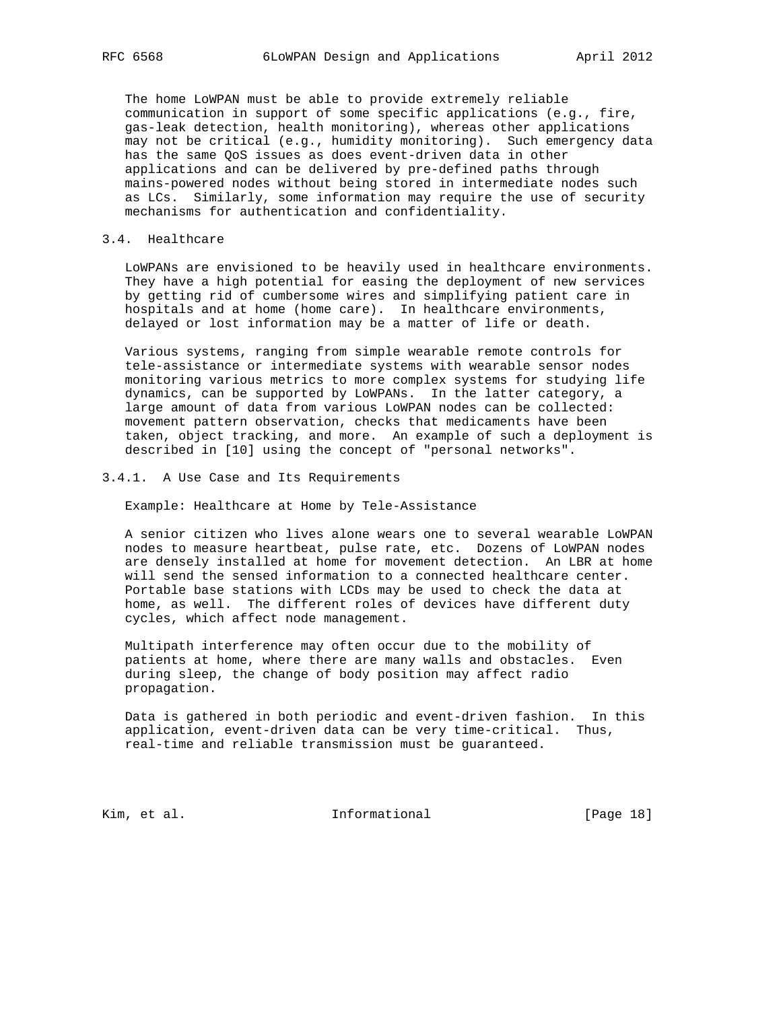The home LoWPAN must be able to provide extremely reliable communication in support of some specific applications (e.g., fire, gas-leak detection, health monitoring), whereas other applications may not be critical (e.g., humidity monitoring). Such emergency data has the same QoS issues as does event-driven data in other applications and can be delivered by pre-defined paths through mains-powered nodes without being stored in intermediate nodes such as LCs. Similarly, some information may require the use of security mechanisms for authentication and confidentiality.

### 3.4. Healthcare

 LoWPANs are envisioned to be heavily used in healthcare environments. They have a high potential for easing the deployment of new services by getting rid of cumbersome wires and simplifying patient care in hospitals and at home (home care). In healthcare environments, delayed or lost information may be a matter of life or death.

 Various systems, ranging from simple wearable remote controls for tele-assistance or intermediate systems with wearable sensor nodes monitoring various metrics to more complex systems for studying life dynamics, can be supported by LoWPANs. In the latter category, a large amount of data from various LoWPAN nodes can be collected: movement pattern observation, checks that medicaments have been taken, object tracking, and more. An example of such a deployment is described in [10] using the concept of "personal networks".

### 3.4.1. A Use Case and Its Requirements

Example: Healthcare at Home by Tele-Assistance

 A senior citizen who lives alone wears one to several wearable LoWPAN nodes to measure heartbeat, pulse rate, etc. Dozens of LoWPAN nodes are densely installed at home for movement detection. An LBR at home will send the sensed information to a connected healthcare center. Portable base stations with LCDs may be used to check the data at home, as well. The different roles of devices have different duty cycles, which affect node management.

 Multipath interference may often occur due to the mobility of patients at home, where there are many walls and obstacles. Even during sleep, the change of body position may affect radio propagation.

 Data is gathered in both periodic and event-driven fashion. In this application, event-driven data can be very time-critical. Thus, real-time and reliable transmission must be guaranteed.

Kim, et al. 10 1nformational [Page 18]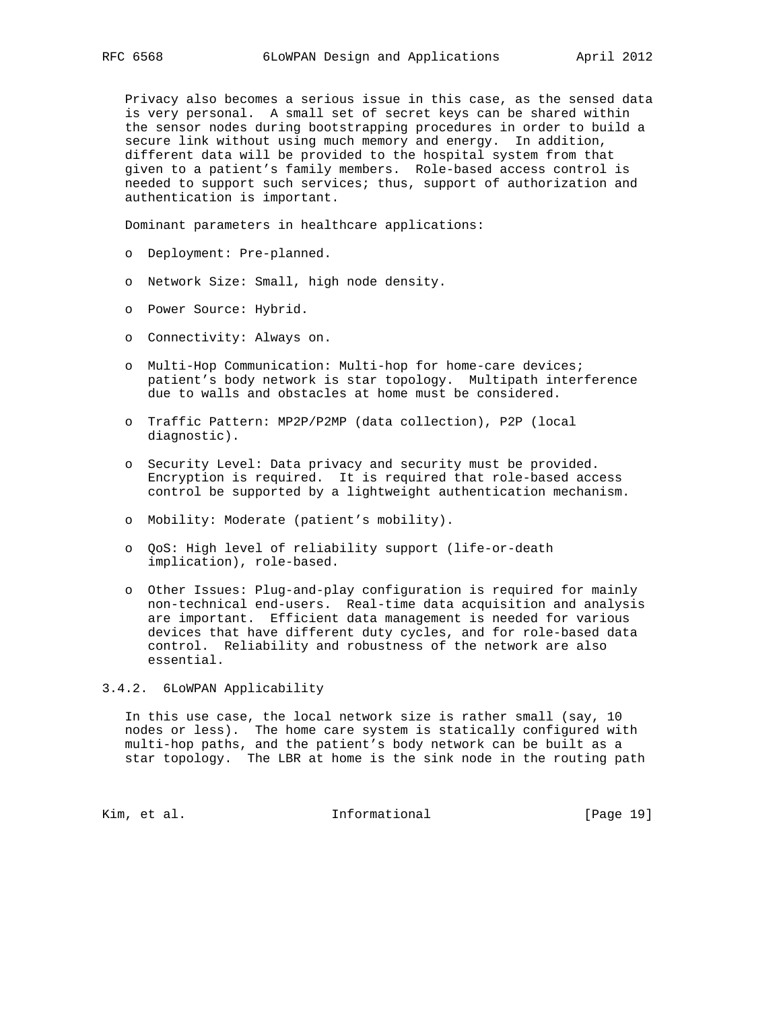Privacy also becomes a serious issue in this case, as the sensed data is very personal. A small set of secret keys can be shared within the sensor nodes during bootstrapping procedures in order to build a secure link without using much memory and energy. In addition, different data will be provided to the hospital system from that given to a patient's family members. Role-based access control is needed to support such services; thus, support of authorization and authentication is important.

Dominant parameters in healthcare applications:

- o Deployment: Pre-planned.
- o Network Size: Small, high node density.
- o Power Source: Hybrid.
- o Connectivity: Always on.
- o Multi-Hop Communication: Multi-hop for home-care devices; patient's body network is star topology. Multipath interference due to walls and obstacles at home must be considered.
- o Traffic Pattern: MP2P/P2MP (data collection), P2P (local diagnostic).
- o Security Level: Data privacy and security must be provided. Encryption is required. It is required that role-based access control be supported by a lightweight authentication mechanism.
- o Mobility: Moderate (patient's mobility).
- o QoS: High level of reliability support (life-or-death implication), role-based.
- o Other Issues: Plug-and-play configuration is required for mainly non-technical end-users. Real-time data acquisition and analysis are important. Efficient data management is needed for various devices that have different duty cycles, and for role-based data control. Reliability and robustness of the network are also essential.

# 3.4.2. 6LoWPAN Applicability

 In this use case, the local network size is rather small (say, 10 nodes or less). The home care system is statically configured with multi-hop paths, and the patient's body network can be built as a star topology. The LBR at home is the sink node in the routing path

Kim, et al. 10. Informational [Page 19]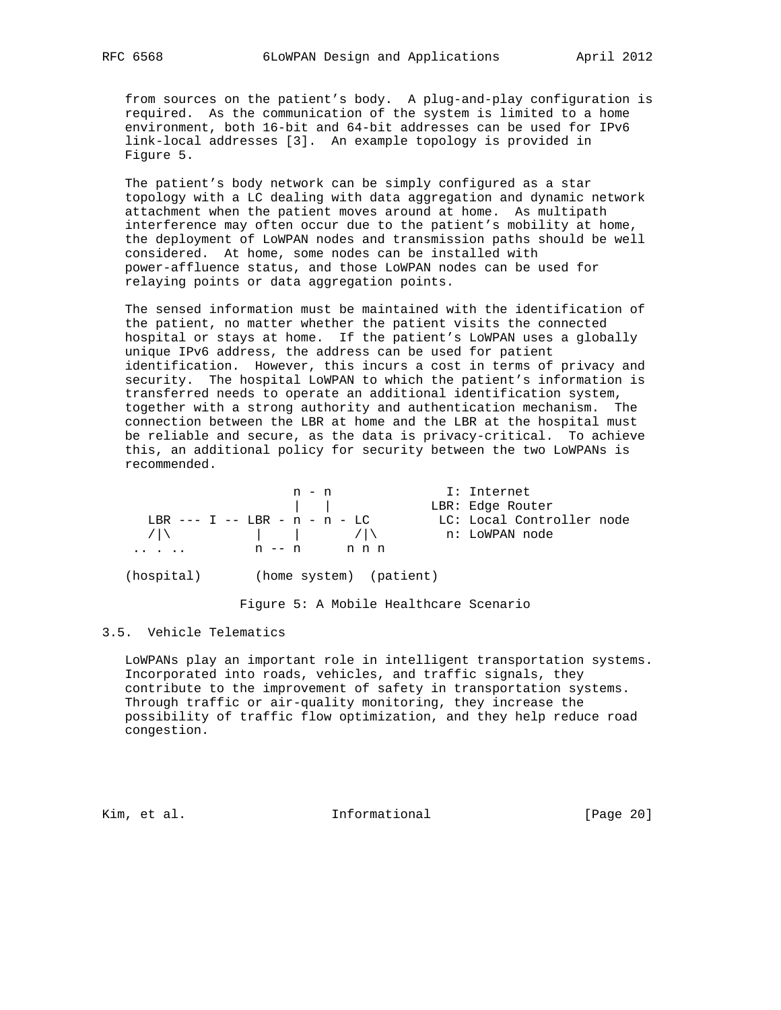from sources on the patient's body. A plug-and-play configuration is required. As the communication of the system is limited to a home environment, both 16-bit and 64-bit addresses can be used for IPv6 link-local addresses [3]. An example topology is provided in Figure 5.

 The patient's body network can be simply configured as a star topology with a LC dealing with data aggregation and dynamic network attachment when the patient moves around at home. As multipath interference may often occur due to the patient's mobility at home, the deployment of LoWPAN nodes and transmission paths should be well considered. At home, some nodes can be installed with power-affluence status, and those LoWPAN nodes can be used for relaying points or data aggregation points.

 The sensed information must be maintained with the identification of the patient, no matter whether the patient visits the connected hospital or stays at home. If the patient's LoWPAN uses a globally unique IPv6 address, the address can be used for patient identification. However, this incurs a cost in terms of privacy and security. The hospital LoWPAN to which the patient's information is transferred needs to operate an additional identification system, together with a strong authority and authentication mechanism. The connection between the LBR at home and the LBR at the hospital must be reliable and secure, as the data is privacy-critical. To achieve this, an additional policy for security between the two LoWPANs is recommended.

|   | n - n                                                                                                           |       | I: Internet               |  |
|---|-----------------------------------------------------------------------------------------------------------------|-------|---------------------------|--|
|   |                                                                                                                 |       | LBR: Edge Router          |  |
|   | $I, BR$ --- $I$ -- $I, BR$ - $n - n - I, C$                                                                     |       | LC: Local Controller node |  |
|   | $\left  \begin{array}{cccc} \hline \end{array} \right $ $\left  \begin{array}{cccc} \hline \end{array} \right $ |       | n: LoWPAN node            |  |
| . | n -- n                                                                                                          | n n n |                           |  |

(hospital) (home system) (patient)

Figure 5: A Mobile Healthcare Scenario

#### 3.5. Vehicle Telematics

 LoWPANs play an important role in intelligent transportation systems. Incorporated into roads, vehicles, and traffic signals, they contribute to the improvement of safety in transportation systems. Through traffic or air-quality monitoring, they increase the possibility of traffic flow optimization, and they help reduce road congestion.

Kim, et al. 10 1nformational [Page 20]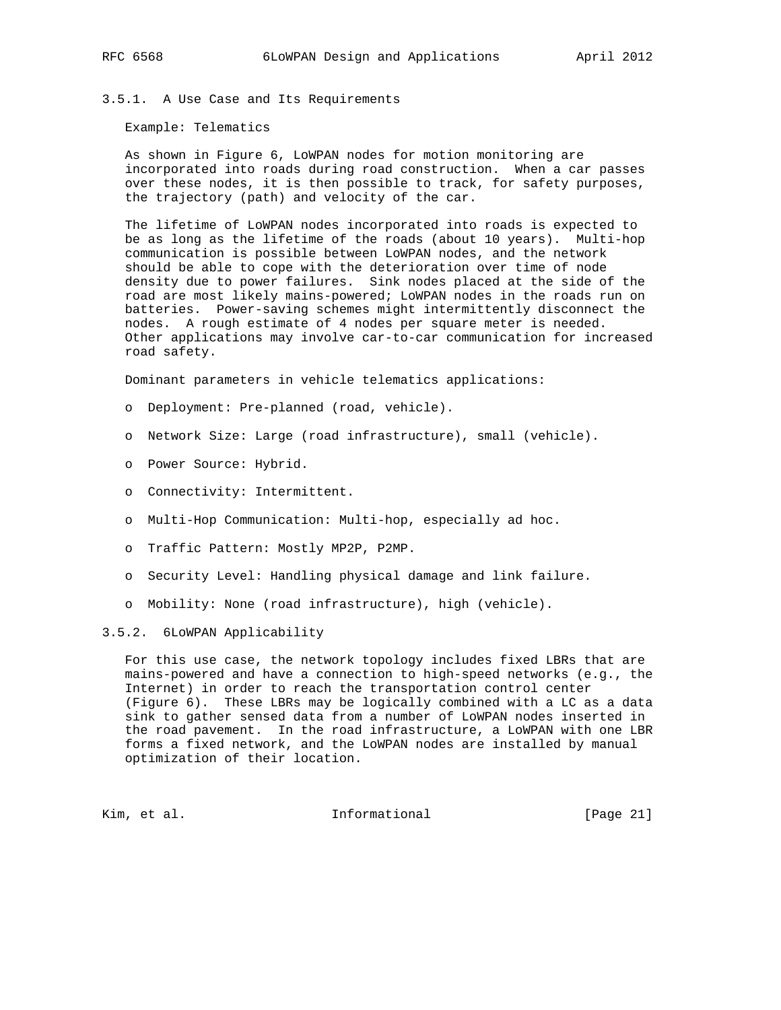# 3.5.1. A Use Case and Its Requirements

Example: Telematics

 As shown in Figure 6, LoWPAN nodes for motion monitoring are incorporated into roads during road construction. When a car passes over these nodes, it is then possible to track, for safety purposes, the trajectory (path) and velocity of the car.

 The lifetime of LoWPAN nodes incorporated into roads is expected to be as long as the lifetime of the roads (about 10 years). Multi-hop communication is possible between LoWPAN nodes, and the network should be able to cope with the deterioration over time of node density due to power failures. Sink nodes placed at the side of the road are most likely mains-powered; LoWPAN nodes in the roads run on batteries. Power-saving schemes might intermittently disconnect the nodes. A rough estimate of 4 nodes per square meter is needed. Other applications may involve car-to-car communication for increased road safety.

Dominant parameters in vehicle telematics applications:

- o Deployment: Pre-planned (road, vehicle).
- o Network Size: Large (road infrastructure), small (vehicle).
- o Power Source: Hybrid.
- o Connectivity: Intermittent.
- o Multi-Hop Communication: Multi-hop, especially ad hoc.
- o Traffic Pattern: Mostly MP2P, P2MP.
- o Security Level: Handling physical damage and link failure.
- o Mobility: None (road infrastructure), high (vehicle).

# 3.5.2. 6LoWPAN Applicability

 For this use case, the network topology includes fixed LBRs that are mains-powered and have a connection to high-speed networks (e.g., the Internet) in order to reach the transportation control center (Figure 6). These LBRs may be logically combined with a LC as a data sink to gather sensed data from a number of LoWPAN nodes inserted in the road pavement. In the road infrastructure, a LoWPAN with one LBR forms a fixed network, and the LoWPAN nodes are installed by manual optimization of their location.

Kim, et al. 10 1nformational [Page 21]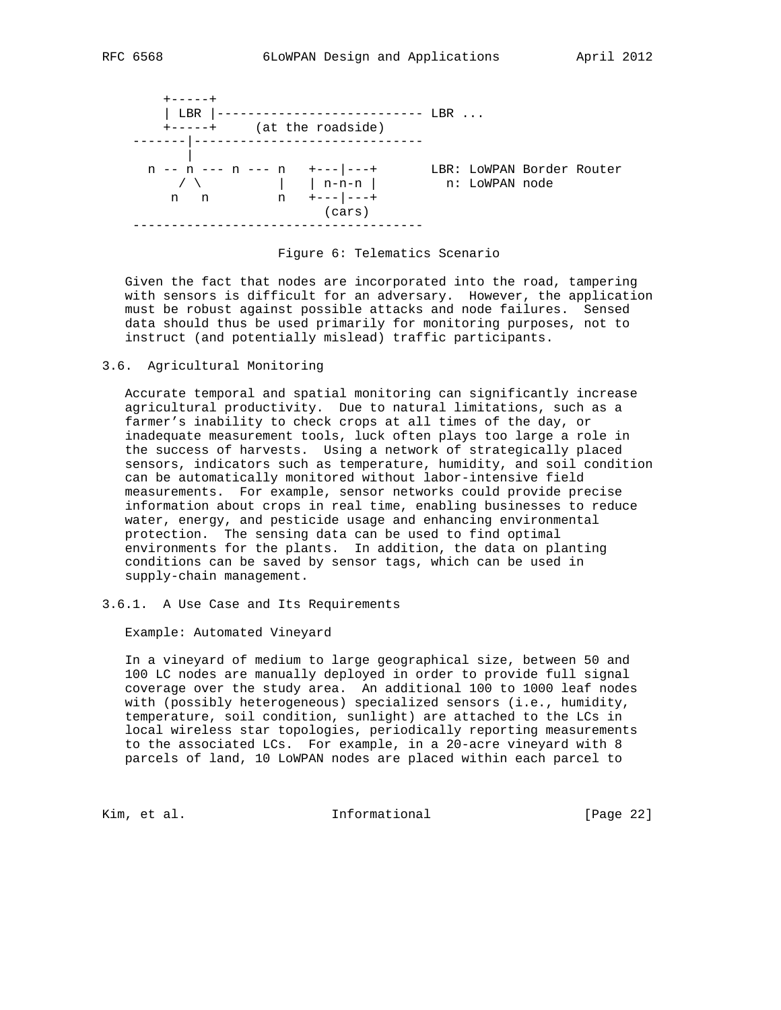

Figure 6: Telematics Scenario

 Given the fact that nodes are incorporated into the road, tampering with sensors is difficult for an adversary. However, the application must be robust against possible attacks and node failures. Sensed data should thus be used primarily for monitoring purposes, not to instruct (and potentially mislead) traffic participants.

3.6. Agricultural Monitoring

 Accurate temporal and spatial monitoring can significantly increase agricultural productivity. Due to natural limitations, such as a farmer's inability to check crops at all times of the day, or inadequate measurement tools, luck often plays too large a role in the success of harvests. Using a network of strategically placed sensors, indicators such as temperature, humidity, and soil condition can be automatically monitored without labor-intensive field measurements. For example, sensor networks could provide precise information about crops in real time, enabling businesses to reduce water, energy, and pesticide usage and enhancing environmental protection. The sensing data can be used to find optimal environments for the plants. In addition, the data on planting conditions can be saved by sensor tags, which can be used in supply-chain management.

3.6.1. A Use Case and Its Requirements

Example: Automated Vineyard

 In a vineyard of medium to large geographical size, between 50 and 100 LC nodes are manually deployed in order to provide full signal coverage over the study area. An additional 100 to 1000 leaf nodes with (possibly heterogeneous) specialized sensors (i.e., humidity, temperature, soil condition, sunlight) are attached to the LCs in local wireless star topologies, periodically reporting measurements to the associated LCs. For example, in a 20-acre vineyard with 8 parcels of land, 10 LoWPAN nodes are placed within each parcel to

Kim, et al. 10 1nformational [Page 22]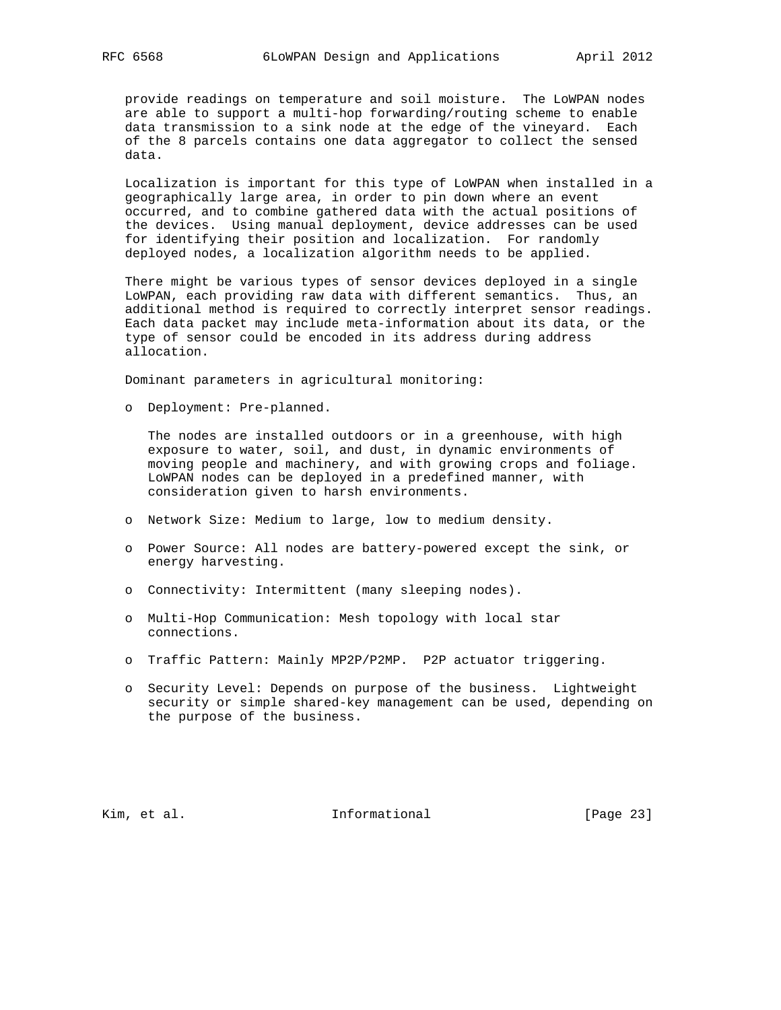provide readings on temperature and soil moisture. The LoWPAN nodes are able to support a multi-hop forwarding/routing scheme to enable data transmission to a sink node at the edge of the vineyard. Each of the 8 parcels contains one data aggregator to collect the sensed data.

 Localization is important for this type of LoWPAN when installed in a geographically large area, in order to pin down where an event occurred, and to combine gathered data with the actual positions of the devices. Using manual deployment, device addresses can be used for identifying their position and localization. For randomly deployed nodes, a localization algorithm needs to be applied.

 There might be various types of sensor devices deployed in a single LoWPAN, each providing raw data with different semantics. Thus, an additional method is required to correctly interpret sensor readings. Each data packet may include meta-information about its data, or the type of sensor could be encoded in its address during address allocation.

Dominant parameters in agricultural monitoring:

o Deployment: Pre-planned.

 The nodes are installed outdoors or in a greenhouse, with high exposure to water, soil, and dust, in dynamic environments of moving people and machinery, and with growing crops and foliage. LoWPAN nodes can be deployed in a predefined manner, with consideration given to harsh environments.

- o Network Size: Medium to large, low to medium density.
- o Power Source: All nodes are battery-powered except the sink, or energy harvesting.
- o Connectivity: Intermittent (many sleeping nodes).
- o Multi-Hop Communication: Mesh topology with local star connections.
- o Traffic Pattern: Mainly MP2P/P2MP. P2P actuator triggering.
- o Security Level: Depends on purpose of the business. Lightweight security or simple shared-key management can be used, depending on the purpose of the business.

Kim, et al. Informational [Page 23]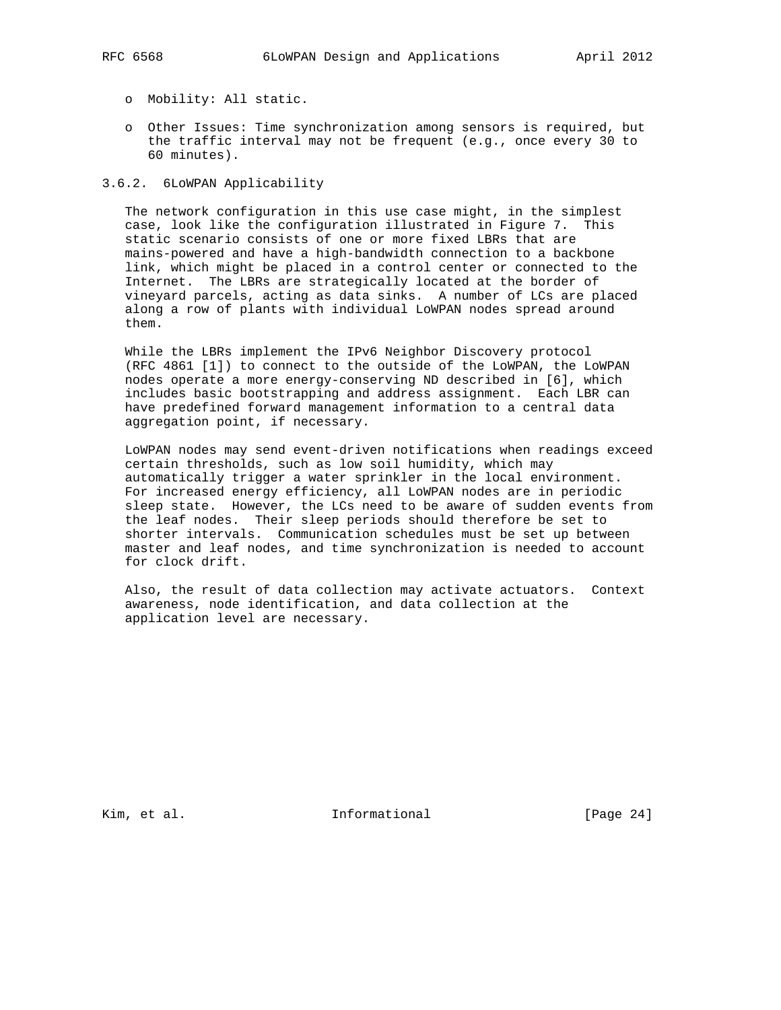- o Mobility: All static.
- o Other Issues: Time synchronization among sensors is required, but the traffic interval may not be frequent (e.g., once every 30 to 60 minutes).

# 3.6.2. 6LoWPAN Applicability

 The network configuration in this use case might, in the simplest case, look like the configuration illustrated in Figure 7. This static scenario consists of one or more fixed LBRs that are mains-powered and have a high-bandwidth connection to a backbone link, which might be placed in a control center or connected to the Internet. The LBRs are strategically located at the border of vineyard parcels, acting as data sinks. A number of LCs are placed along a row of plants with individual LoWPAN nodes spread around them.

 While the LBRs implement the IPv6 Neighbor Discovery protocol (RFC 4861 [1]) to connect to the outside of the LoWPAN, the LoWPAN nodes operate a more energy-conserving ND described in [6], which includes basic bootstrapping and address assignment. Each LBR can have predefined forward management information to a central data aggregation point, if necessary.

 LoWPAN nodes may send event-driven notifications when readings exceed certain thresholds, such as low soil humidity, which may automatically trigger a water sprinkler in the local environment. For increased energy efficiency, all LoWPAN nodes are in periodic sleep state. However, the LCs need to be aware of sudden events from the leaf nodes. Their sleep periods should therefore be set to shorter intervals. Communication schedules must be set up between master and leaf nodes, and time synchronization is needed to account for clock drift.

 Also, the result of data collection may activate actuators. Context awareness, node identification, and data collection at the application level are necessary.

Kim, et al. 10 1nformational [Page 24]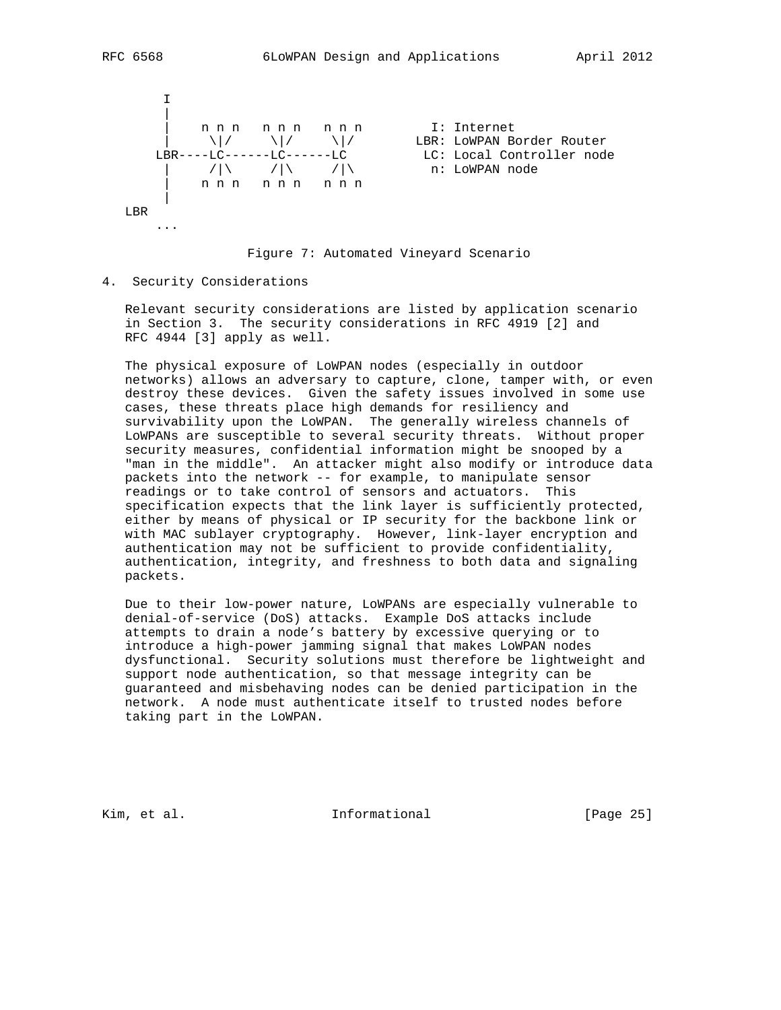

Figure 7: Automated Vineyard Scenario

4. Security Considerations

 Relevant security considerations are listed by application scenario in Section 3. The security considerations in RFC 4919 [2] and RFC 4944 [3] apply as well.

 The physical exposure of LoWPAN nodes (especially in outdoor networks) allows an adversary to capture, clone, tamper with, or even destroy these devices. Given the safety issues involved in some use cases, these threats place high demands for resiliency and survivability upon the LoWPAN. The generally wireless channels of LoWPANs are susceptible to several security threats. Without proper security measures, confidential information might be snooped by a "man in the middle". An attacker might also modify or introduce data packets into the network -- for example, to manipulate sensor readings or to take control of sensors and actuators. This specification expects that the link layer is sufficiently protected, either by means of physical or IP security for the backbone link or with MAC sublayer cryptography. However, link-layer encryption and authentication may not be sufficient to provide confidentiality, authentication, integrity, and freshness to both data and signaling packets.

 Due to their low-power nature, LoWPANs are especially vulnerable to denial-of-service (DoS) attacks. Example DoS attacks include attempts to drain a node's battery by excessive querying or to introduce a high-power jamming signal that makes LoWPAN nodes dysfunctional. Security solutions must therefore be lightweight and support node authentication, so that message integrity can be guaranteed and misbehaving nodes can be denied participation in the network. A node must authenticate itself to trusted nodes before taking part in the LoWPAN.

Kim, et al. Informational [Page 25]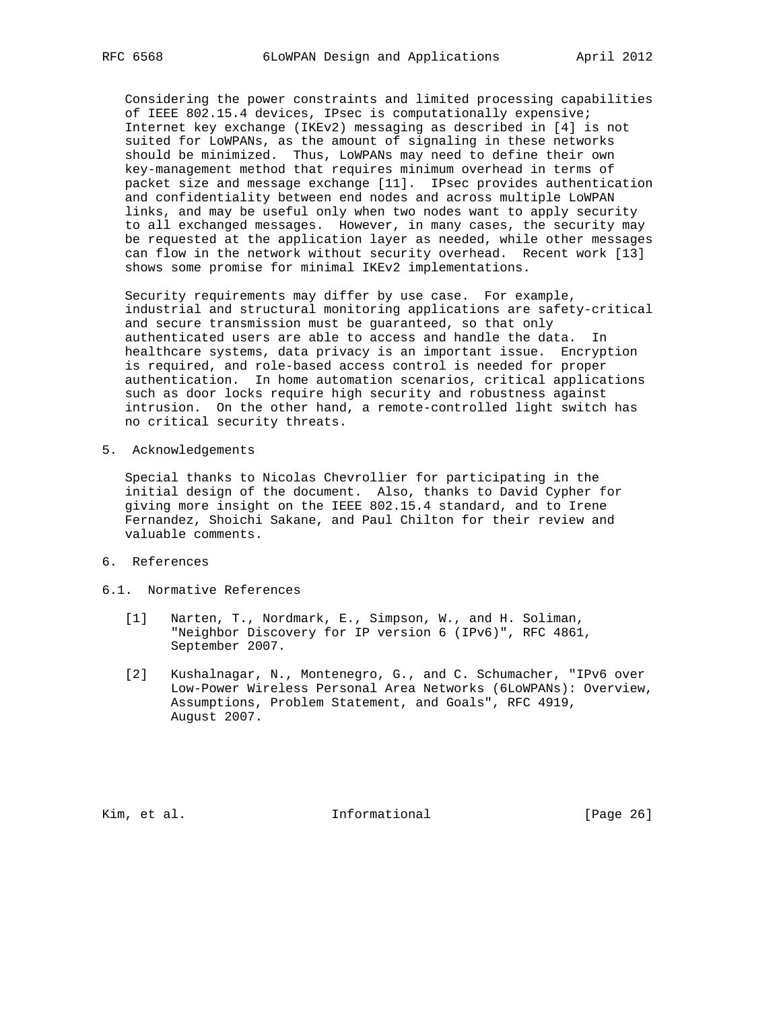Considering the power constraints and limited processing capabilities of IEEE 802.15.4 devices, IPsec is computationally expensive; Internet key exchange (IKEv2) messaging as described in [4] is not suited for LoWPANs, as the amount of signaling in these networks should be minimized. Thus, LoWPANs may need to define their own key-management method that requires minimum overhead in terms of packet size and message exchange [11]. IPsec provides authentication and confidentiality between end nodes and across multiple LoWPAN links, and may be useful only when two nodes want to apply security to all exchanged messages. However, in many cases, the security may be requested at the application layer as needed, while other messages can flow in the network without security overhead. Recent work [13] shows some promise for minimal IKEv2 implementations.

 Security requirements may differ by use case. For example, industrial and structural monitoring applications are safety-critical and secure transmission must be guaranteed, so that only authenticated users are able to access and handle the data. In healthcare systems, data privacy is an important issue. Encryption is required, and role-based access control is needed for proper authentication. In home automation scenarios, critical applications such as door locks require high security and robustness against intrusion. On the other hand, a remote-controlled light switch has no critical security threats.

5. Acknowledgements

 Special thanks to Nicolas Chevrollier for participating in the initial design of the document. Also, thanks to David Cypher for giving more insight on the IEEE 802.15.4 standard, and to Irene Fernandez, Shoichi Sakane, and Paul Chilton for their review and valuable comments.

- 6. References
- 6.1. Normative References
	- [1] Narten, T., Nordmark, E., Simpson, W., and H. Soliman, "Neighbor Discovery for IP version 6 (IPv6)", RFC 4861, September 2007.
	- [2] Kushalnagar, N., Montenegro, G., and C. Schumacher, "IPv6 over Low-Power Wireless Personal Area Networks (6LoWPANs): Overview, Assumptions, Problem Statement, and Goals", RFC 4919, August 2007.

Kim, et al. 10 mm informational [Page 26]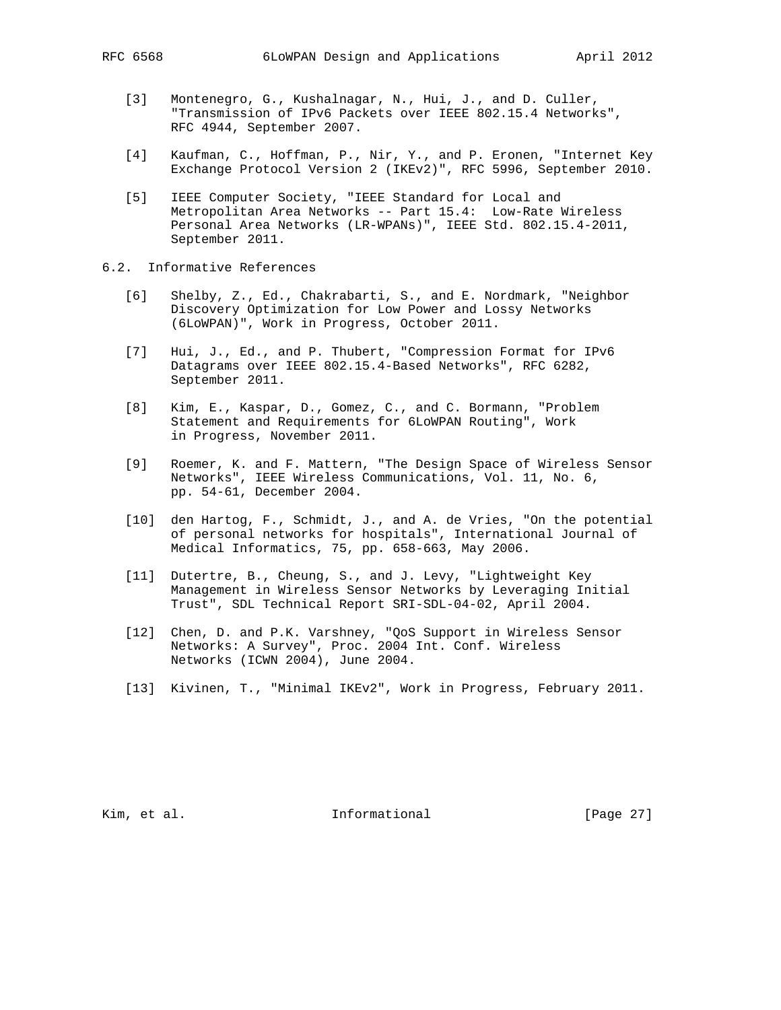- [3] Montenegro, G., Kushalnagar, N., Hui, J., and D. Culler, "Transmission of IPv6 Packets over IEEE 802.15.4 Networks", RFC 4944, September 2007.
- [4] Kaufman, C., Hoffman, P., Nir, Y., and P. Eronen, "Internet Key Exchange Protocol Version 2 (IKEv2)", RFC 5996, September 2010.
- [5] IEEE Computer Society, "IEEE Standard for Local and Metropolitan Area Networks -- Part 15.4: Low-Rate Wireless Personal Area Networks (LR-WPANs)", IEEE Std. 802.15.4-2011, September 2011.
- 6.2. Informative References
	- [6] Shelby, Z., Ed., Chakrabarti, S., and E. Nordmark, "Neighbor Discovery Optimization for Low Power and Lossy Networks (6LoWPAN)", Work in Progress, October 2011.
	- [7] Hui, J., Ed., and P. Thubert, "Compression Format for IPv6 Datagrams over IEEE 802.15.4-Based Networks", RFC 6282, September 2011.
	- [8] Kim, E., Kaspar, D., Gomez, C., and C. Bormann, "Problem Statement and Requirements for 6LoWPAN Routing", Work in Progress, November 2011.
	- [9] Roemer, K. and F. Mattern, "The Design Space of Wireless Sensor Networks", IEEE Wireless Communications, Vol. 11, No. 6, pp. 54-61, December 2004.
	- [10] den Hartog, F., Schmidt, J., and A. de Vries, "On the potential of personal networks for hospitals", International Journal of Medical Informatics, 75, pp. 658-663, May 2006.
	- [11] Dutertre, B., Cheung, S., and J. Levy, "Lightweight Key Management in Wireless Sensor Networks by Leveraging Initial Trust", SDL Technical Report SRI-SDL-04-02, April 2004.
	- [12] Chen, D. and P.K. Varshney, "QoS Support in Wireless Sensor Networks: A Survey", Proc. 2004 Int. Conf. Wireless Networks (ICWN 2004), June 2004.
	- [13] Kivinen, T., "Minimal IKEv2", Work in Progress, February 2011.

Kim, et al. Informational [Page 27]